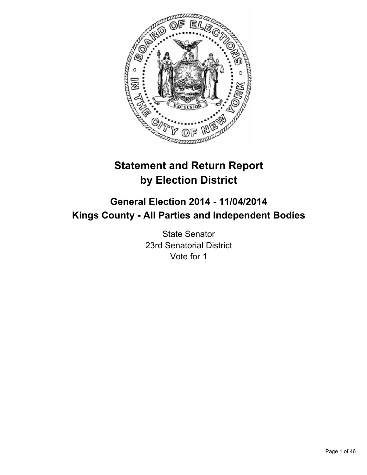

# **Statement and Return Report by Election District**

# **General Election 2014 - 11/04/2014 Kings County - All Parties and Independent Bodies**

State Senator 23rd Senatorial District Vote for 1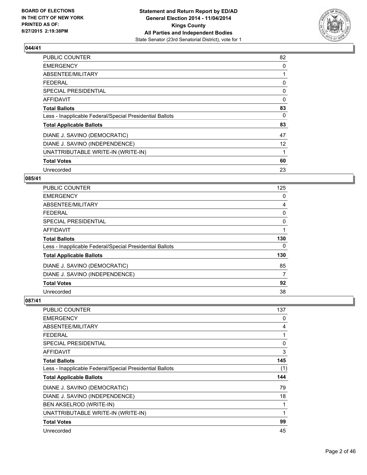

| <b>PUBLIC COUNTER</b>                                    | 82                |
|----------------------------------------------------------|-------------------|
| <b>EMERGENCY</b>                                         | 0                 |
| ABSENTEE/MILITARY                                        |                   |
| FEDERAL                                                  | 0                 |
| <b>SPECIAL PRESIDENTIAL</b>                              | 0                 |
| <b>AFFIDAVIT</b>                                         | $\Omega$          |
| <b>Total Ballots</b>                                     | 83                |
| Less - Inapplicable Federal/Special Presidential Ballots | 0                 |
| <b>Total Applicable Ballots</b>                          | 83                |
| DIANE J. SAVINO (DEMOCRATIC)                             | 47                |
| DIANE J. SAVINO (INDEPENDENCE)                           | $12 \overline{ }$ |
| UNATTRIBUTABLE WRITE-IN (WRITE-IN)                       |                   |
| <b>Total Votes</b>                                       | 60                |
| Unrecorded                                               | 23                |

# **085/41**

| <b>PUBLIC COUNTER</b>                                    | 125          |
|----------------------------------------------------------|--------------|
| <b>EMERGENCY</b>                                         | 0            |
| ABSENTEE/MILITARY                                        | 4            |
| <b>FEDERAL</b>                                           | 0            |
| <b>SPECIAL PRESIDENTIAL</b>                              | 0            |
| <b>AFFIDAVIT</b>                                         | $\mathbf{1}$ |
| <b>Total Ballots</b>                                     | 130          |
| Less - Inapplicable Federal/Special Presidential Ballots | 0            |
| <b>Total Applicable Ballots</b>                          | 130          |
| DIANE J. SAVINO (DEMOCRATIC)                             | 85           |
| DIANE J. SAVINO (INDEPENDENCE)                           | 7            |
| <b>Total Votes</b>                                       | 92           |
| Unrecorded                                               | 38           |

| PUBLIC COUNTER                                           | 137 |
|----------------------------------------------------------|-----|
| <b>EMERGENCY</b>                                         | 0   |
| ABSENTEE/MILITARY                                        | 4   |
| <b>FEDERAL</b>                                           | 1   |
| <b>SPECIAL PRESIDENTIAL</b>                              | 0   |
| <b>AFFIDAVIT</b>                                         | 3   |
| <b>Total Ballots</b>                                     | 145 |
| Less - Inapplicable Federal/Special Presidential Ballots | (1) |
| <b>Total Applicable Ballots</b>                          | 144 |
| DIANE J. SAVINO (DEMOCRATIC)                             | 79  |
| DIANE J. SAVINO (INDEPENDENCE)                           | 18  |
| <b>BEN AKSELROD (WRITE-IN)</b>                           |     |
| UNATTRIBUTABLE WRITE-IN (WRITE-IN)                       | 1   |
| <b>Total Votes</b>                                       | 99  |
| Unrecorded                                               | 45  |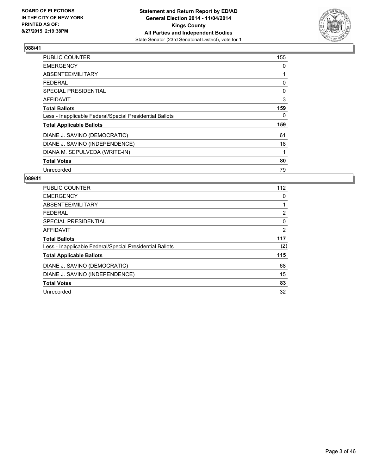

| <b>PUBLIC COUNTER</b>                                    | 155 |
|----------------------------------------------------------|-----|
| <b>EMERGENCY</b>                                         | 0   |
| ABSENTEE/MILITARY                                        | 1   |
| <b>FEDERAL</b>                                           | 0   |
| <b>SPECIAL PRESIDENTIAL</b>                              | 0   |
| AFFIDAVIT                                                | 3   |
| <b>Total Ballots</b>                                     | 159 |
| Less - Inapplicable Federal/Special Presidential Ballots | 0   |
| <b>Total Applicable Ballots</b>                          | 159 |
| DIANE J. SAVINO (DEMOCRATIC)                             | 61  |
| DIANE J. SAVINO (INDEPENDENCE)                           | 18  |
| DIANA M. SEPULVEDA (WRITE-IN)                            | 1   |
| <b>Total Votes</b>                                       | 80  |
| Unrecorded                                               | 79  |

| <b>PUBLIC COUNTER</b>                                    | 112 |
|----------------------------------------------------------|-----|
| <b>EMERGENCY</b>                                         | 0   |
| ABSENTEE/MILITARY                                        | 1   |
| <b>FEDERAL</b>                                           | 2   |
| SPECIAL PRESIDENTIAL                                     | 0   |
| <b>AFFIDAVIT</b>                                         | 2   |
| <b>Total Ballots</b>                                     | 117 |
| Less - Inapplicable Federal/Special Presidential Ballots | (2) |
| <b>Total Applicable Ballots</b>                          | 115 |
| DIANE J. SAVINO (DEMOCRATIC)                             | 68  |
| DIANE J. SAVINO (INDEPENDENCE)                           | 15  |
| <b>Total Votes</b>                                       | 83  |
| Unrecorded                                               | 32  |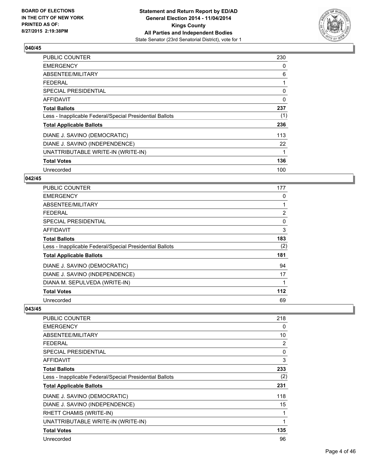

| <b>PUBLIC COUNTER</b>                                    | 230 |
|----------------------------------------------------------|-----|
| <b>EMERGENCY</b>                                         | 0   |
| ABSENTEE/MILITARY                                        | 6   |
| <b>FEDERAL</b>                                           | 1   |
| SPECIAL PRESIDENTIAL                                     | 0   |
| AFFIDAVIT                                                | 0   |
| <b>Total Ballots</b>                                     | 237 |
| Less - Inapplicable Federal/Special Presidential Ballots | (1) |
| <b>Total Applicable Ballots</b>                          | 236 |
| DIANE J. SAVINO (DEMOCRATIC)                             | 113 |
| DIANE J. SAVINO (INDEPENDENCE)                           | 22  |
| UNATTRIBUTABLE WRITE-IN (WRITE-IN)                       | 1   |
| <b>Total Votes</b>                                       | 136 |
| Unrecorded                                               | 100 |

# **042/45**

| <b>PUBLIC COUNTER</b>                                    | 177   |
|----------------------------------------------------------|-------|
| <b>EMERGENCY</b>                                         | 0     |
| ABSENTEE/MILITARY                                        |       |
| <b>FEDERAL</b>                                           | 2     |
| SPECIAL PRESIDENTIAL                                     | 0     |
| <b>AFFIDAVIT</b>                                         | 3     |
| <b>Total Ballots</b>                                     | 183   |
| Less - Inapplicable Federal/Special Presidential Ballots | (2)   |
| <b>Total Applicable Ballots</b>                          | 181   |
| DIANE J. SAVINO (DEMOCRATIC)                             | 94    |
| DIANE J. SAVINO (INDEPENDENCE)                           | 17    |
| DIANA M. SEPULVEDA (WRITE-IN)                            |       |
| <b>Total Votes</b>                                       | $112$ |
| Unrecorded                                               | 69    |

| PUBLIC COUNTER                                           | 218 |
|----------------------------------------------------------|-----|
| <b>EMERGENCY</b>                                         | 0   |
| ABSENTEE/MILITARY                                        | 10  |
| <b>FEDERAL</b>                                           | 2   |
| <b>SPECIAL PRESIDENTIAL</b>                              | 0   |
| <b>AFFIDAVIT</b>                                         | 3   |
| <b>Total Ballots</b>                                     | 233 |
| Less - Inapplicable Federal/Special Presidential Ballots | (2) |
| <b>Total Applicable Ballots</b>                          | 231 |
| DIANE J. SAVINO (DEMOCRATIC)                             | 118 |
| DIANE J. SAVINO (INDEPENDENCE)                           | 15  |
| RHETT CHAMIS (WRITE-IN)                                  | 1   |
| UNATTRIBUTABLE WRITE-IN (WRITE-IN)                       | 1   |
| <b>Total Votes</b>                                       | 135 |
| Unrecorded                                               | 96  |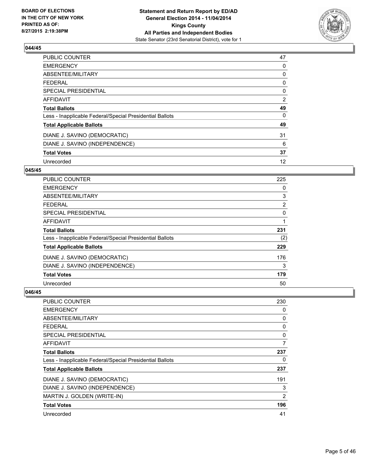

| <b>PUBLIC COUNTER</b>                                    | 47 |
|----------------------------------------------------------|----|
| <b>EMERGENCY</b>                                         | 0  |
| ABSENTEE/MILITARY                                        | 0  |
| <b>FEDERAL</b>                                           | 0  |
| SPECIAL PRESIDENTIAL                                     | 0  |
| AFFIDAVIT                                                | 2  |
| <b>Total Ballots</b>                                     | 49 |
| Less - Inapplicable Federal/Special Presidential Ballots | 0  |
| <b>Total Applicable Ballots</b>                          | 49 |
| DIANE J. SAVINO (DEMOCRATIC)                             | 31 |
| DIANE J. SAVINO (INDEPENDENCE)                           | 6  |
| <b>Total Votes</b>                                       | 37 |
| Unrecorded                                               | 12 |

# **045/45**

| PUBLIC COUNTER                                           | 225 |
|----------------------------------------------------------|-----|
| <b>EMERGENCY</b>                                         | 0   |
| ABSENTEE/MILITARY                                        | 3   |
| <b>FEDERAL</b>                                           | 2   |
| SPECIAL PRESIDENTIAL                                     | 0   |
| <b>AFFIDAVIT</b>                                         |     |
| <b>Total Ballots</b>                                     | 231 |
| Less - Inapplicable Federal/Special Presidential Ballots | (2) |
| <b>Total Applicable Ballots</b>                          | 229 |
| DIANE J. SAVINO (DEMOCRATIC)                             | 176 |
| DIANE J. SAVINO (INDEPENDENCE)                           | 3   |
| <b>Total Votes</b>                                       | 179 |
| Unrecorded                                               | 50  |

| PUBLIC COUNTER                                           | 230            |
|----------------------------------------------------------|----------------|
| <b>EMERGENCY</b>                                         | 0              |
| ABSENTEE/MILITARY                                        | 0              |
| <b>FEDERAL</b>                                           | 0              |
| SPECIAL PRESIDENTIAL                                     | 0              |
| AFFIDAVIT                                                | 7              |
| <b>Total Ballots</b>                                     | 237            |
| Less - Inapplicable Federal/Special Presidential Ballots | 0              |
| <b>Total Applicable Ballots</b>                          | 237            |
| DIANE J. SAVINO (DEMOCRATIC)                             | 191            |
| DIANE J. SAVINO (INDEPENDENCE)                           | 3              |
| MARTIN J. GOLDEN (WRITE-IN)                              | $\overline{2}$ |
| <b>Total Votes</b>                                       | 196            |
| Unrecorded                                               | 41             |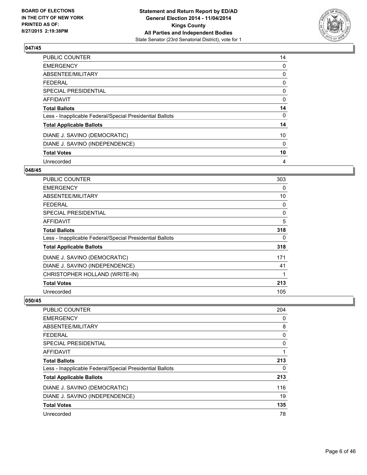

| <b>PUBLIC COUNTER</b>                                    | 14 |
|----------------------------------------------------------|----|
| <b>EMERGENCY</b>                                         | 0  |
| ABSENTEE/MILITARY                                        | 0  |
| <b>FEDERAL</b>                                           | 0  |
| <b>SPECIAL PRESIDENTIAL</b>                              | 0  |
| <b>AFFIDAVIT</b>                                         | 0  |
| <b>Total Ballots</b>                                     | 14 |
| Less - Inapplicable Federal/Special Presidential Ballots | 0  |
| <b>Total Applicable Ballots</b>                          | 14 |
| DIANE J. SAVINO (DEMOCRATIC)                             | 10 |
| DIANE J. SAVINO (INDEPENDENCE)                           | 0  |
| <b>Total Votes</b>                                       | 10 |
| Unrecorded                                               | 4  |

#### **048/45**

| <b>PUBLIC COUNTER</b>                                    | 303 |
|----------------------------------------------------------|-----|
| <b>EMERGENCY</b>                                         | 0   |
| ABSENTEE/MILITARY                                        | 10  |
| <b>FEDERAL</b>                                           | 0   |
| SPECIAL PRESIDENTIAL                                     | 0   |
| <b>AFFIDAVIT</b>                                         | 5   |
| <b>Total Ballots</b>                                     | 318 |
| Less - Inapplicable Federal/Special Presidential Ballots | 0   |
| <b>Total Applicable Ballots</b>                          | 318 |
| DIANE J. SAVINO (DEMOCRATIC)                             | 171 |
| DIANE J. SAVINO (INDEPENDENCE)                           | 41  |
| CHRISTOPHER HOLLAND (WRITE-IN)                           | 1   |
| <b>Total Votes</b>                                       | 213 |
| Unrecorded                                               | 105 |

| <b>PUBLIC COUNTER</b>                                    | 204 |
|----------------------------------------------------------|-----|
| <b>EMERGENCY</b>                                         | 0   |
| ABSENTEE/MILITARY                                        | 8   |
| <b>FEDERAL</b>                                           | 0   |
| SPECIAL PRESIDENTIAL                                     | 0   |
| <b>AFFIDAVIT</b>                                         |     |
| <b>Total Ballots</b>                                     | 213 |
| Less - Inapplicable Federal/Special Presidential Ballots | 0   |
| <b>Total Applicable Ballots</b>                          | 213 |
| DIANE J. SAVINO (DEMOCRATIC)                             | 116 |
| DIANE J. SAVINO (INDEPENDENCE)                           | 19  |
| <b>Total Votes</b>                                       | 135 |
| Unrecorded                                               | 78  |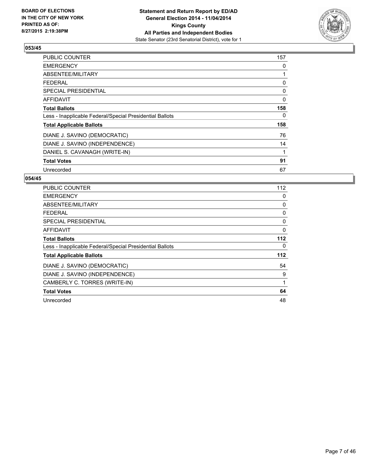

| PUBLIC COUNTER                                           | 157 |
|----------------------------------------------------------|-----|
| <b>EMERGENCY</b>                                         | 0   |
| ABSENTEE/MILITARY                                        | 1   |
| <b>FEDERAL</b>                                           | 0   |
| <b>SPECIAL PRESIDENTIAL</b>                              | 0   |
| AFFIDAVIT                                                | 0   |
| <b>Total Ballots</b>                                     | 158 |
| Less - Inapplicable Federal/Special Presidential Ballots | 0   |
| <b>Total Applicable Ballots</b>                          | 158 |
| DIANE J. SAVINO (DEMOCRATIC)                             | 76  |
| DIANE J. SAVINO (INDEPENDENCE)                           | 14  |
| DANIEL S. CAVANAGH (WRITE-IN)                            | 1   |
| <b>Total Votes</b>                                       | 91  |
| Unrecorded                                               | 67  |

| <b>PUBLIC COUNTER</b>                                    | 112      |
|----------------------------------------------------------|----------|
| <b>EMERGENCY</b>                                         | 0        |
| ABSENTEE/MILITARY                                        | 0        |
| <b>FEDERAL</b>                                           | 0        |
| <b>SPECIAL PRESIDENTIAL</b>                              | 0        |
| AFFIDAVIT                                                | $\Omega$ |
| <b>Total Ballots</b>                                     | 112      |
| Less - Inapplicable Federal/Special Presidential Ballots | 0        |
| <b>Total Applicable Ballots</b>                          | $112$    |
| DIANE J. SAVINO (DEMOCRATIC)                             | 54       |
| DIANE J. SAVINO (INDEPENDENCE)                           | 9        |
| CAMBERLY C. TORRES (WRITE-IN)                            | 1        |
| <b>Total Votes</b>                                       | 64       |
| Unrecorded                                               | 48       |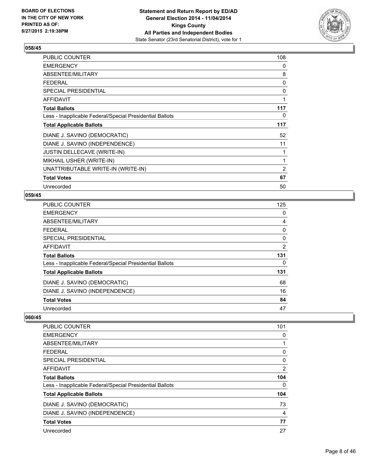

| PUBLIC COUNTER                                           | 108 |
|----------------------------------------------------------|-----|
| <b>EMERGENCY</b>                                         | 0   |
| ABSENTEE/MILITARY                                        | 8   |
| <b>FEDERAL</b>                                           | 0   |
| <b>SPECIAL PRESIDENTIAL</b>                              | 0   |
| <b>AFFIDAVIT</b>                                         | 1   |
| <b>Total Ballots</b>                                     | 117 |
| Less - Inapplicable Federal/Special Presidential Ballots | 0   |
| <b>Total Applicable Ballots</b>                          | 117 |
| DIANE J. SAVINO (DEMOCRATIC)                             | 52  |
| DIANE J. SAVINO (INDEPENDENCE)                           | 11  |
| <b>JUSTIN DELLECAVE (WRITE-IN)</b>                       | 1   |
| MIKHAIL USHER (WRITE-IN)                                 | 1   |
| UNATTRIBUTABLE WRITE-IN (WRITE-IN)                       | 2   |
| <b>Total Votes</b>                                       | 67  |
| Unrecorded                                               | 50  |

# **059/45**

| PUBLIC COUNTER                                           | 125 |
|----------------------------------------------------------|-----|
| <b>EMERGENCY</b>                                         | 0   |
| <b>ABSENTEE/MILITARY</b>                                 | 4   |
| <b>FEDERAL</b>                                           | 0   |
| <b>SPECIAL PRESIDENTIAL</b>                              | 0   |
| AFFIDAVIT                                                | 2   |
| <b>Total Ballots</b>                                     | 131 |
| Less - Inapplicable Federal/Special Presidential Ballots | 0   |
| <b>Total Applicable Ballots</b>                          | 131 |
| DIANE J. SAVINO (DEMOCRATIC)                             | 68  |
| DIANE J. SAVINO (INDEPENDENCE)                           | 16  |
| <b>Total Votes</b>                                       | 84  |
| Unrecorded                                               | 47  |

| PUBLIC COUNTER                                           | 101 |
|----------------------------------------------------------|-----|
| <b>EMERGENCY</b>                                         | 0   |
| ABSENTEE/MILITARY                                        |     |
| <b>FEDERAL</b>                                           | 0   |
| SPECIAL PRESIDENTIAL                                     | 0   |
| AFFIDAVIT                                                | 2   |
| <b>Total Ballots</b>                                     | 104 |
| Less - Inapplicable Federal/Special Presidential Ballots | 0   |
| <b>Total Applicable Ballots</b>                          | 104 |
| DIANE J. SAVINO (DEMOCRATIC)                             | 73  |
| DIANE J. SAVINO (INDEPENDENCE)                           | 4   |
| <b>Total Votes</b>                                       | 77  |
| Unrecorded                                               | 27  |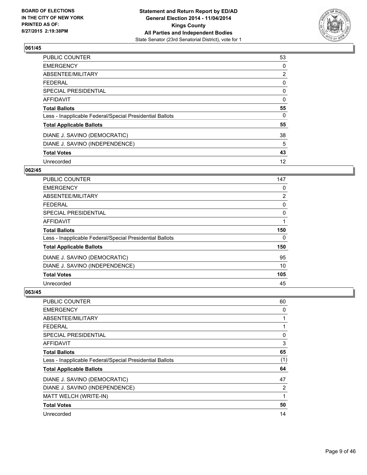

| <b>PUBLIC COUNTER</b>                                    | 53 |
|----------------------------------------------------------|----|
| <b>EMERGENCY</b>                                         | 0  |
| ABSENTEE/MILITARY                                        | 2  |
| <b>FEDERAL</b>                                           | 0  |
| <b>SPECIAL PRESIDENTIAL</b>                              | 0  |
| <b>AFFIDAVIT</b>                                         | 0  |
| <b>Total Ballots</b>                                     | 55 |
| Less - Inapplicable Federal/Special Presidential Ballots | 0  |
| <b>Total Applicable Ballots</b>                          | 55 |
| DIANE J. SAVINO (DEMOCRATIC)                             | 38 |
| DIANE J. SAVINO (INDEPENDENCE)                           | 5  |
| <b>Total Votes</b>                                       | 43 |
| Unrecorded                                               | 12 |

#### **062/45**

| <b>PUBLIC COUNTER</b>                                    | 147 |
|----------------------------------------------------------|-----|
| <b>EMERGENCY</b>                                         | 0   |
| ABSENTEE/MILITARY                                        | 2   |
| <b>FEDERAL</b>                                           | 0   |
| SPECIAL PRESIDENTIAL                                     | 0   |
| <b>AFFIDAVIT</b>                                         |     |
| <b>Total Ballots</b>                                     | 150 |
| Less - Inapplicable Federal/Special Presidential Ballots | 0   |
| <b>Total Applicable Ballots</b>                          | 150 |
| DIANE J. SAVINO (DEMOCRATIC)                             | 95  |
| DIANE J. SAVINO (INDEPENDENCE)                           | 10  |
| <b>Total Votes</b>                                       | 105 |
| Unrecorded                                               | 45  |

| PUBLIC COUNTER                                           | 60  |
|----------------------------------------------------------|-----|
| <b>EMERGENCY</b>                                         | 0   |
| ABSENTEE/MILITARY                                        | 1   |
| <b>FEDERAL</b>                                           | 1   |
| <b>SPECIAL PRESIDENTIAL</b>                              | 0   |
| AFFIDAVIT                                                | 3   |
| <b>Total Ballots</b>                                     | 65  |
| Less - Inapplicable Federal/Special Presidential Ballots | (1) |
| <b>Total Applicable Ballots</b>                          | 64  |
| DIANE J. SAVINO (DEMOCRATIC)                             | 47  |
| DIANE J. SAVINO (INDEPENDENCE)                           | 2   |
| MATT WELCH (WRITE-IN)                                    | 1   |
| <b>Total Votes</b>                                       | 50  |
| Unrecorded                                               | 14  |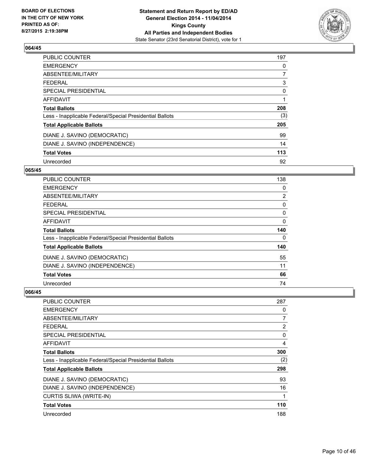

| <b>PUBLIC COUNTER</b>                                    | 197 |
|----------------------------------------------------------|-----|
| <b>EMERGENCY</b>                                         | 0   |
| ABSENTEE/MILITARY                                        | 7   |
| <b>FEDERAL</b>                                           | 3   |
| SPECIAL PRESIDENTIAL                                     | 0   |
| AFFIDAVIT                                                | 1   |
| <b>Total Ballots</b>                                     | 208 |
| Less - Inapplicable Federal/Special Presidential Ballots | (3) |
| <b>Total Applicable Ballots</b>                          | 205 |
| DIANE J. SAVINO (DEMOCRATIC)                             | 99  |
| DIANE J. SAVINO (INDEPENDENCE)                           | 14  |
| <b>Total Votes</b>                                       | 113 |
| Unrecorded                                               | 92  |

#### **065/45**

| <b>PUBLIC COUNTER</b>                                    | 138            |
|----------------------------------------------------------|----------------|
| <b>EMERGENCY</b>                                         | 0              |
| ABSENTEE/MILITARY                                        | $\overline{2}$ |
| <b>FEDERAL</b>                                           | 0              |
| SPECIAL PRESIDENTIAL                                     | 0              |
| <b>AFFIDAVIT</b>                                         | 0              |
| <b>Total Ballots</b>                                     | 140            |
| Less - Inapplicable Federal/Special Presidential Ballots | 0              |
| <b>Total Applicable Ballots</b>                          | 140            |
| DIANE J. SAVINO (DEMOCRATIC)                             | 55             |
| DIANE J. SAVINO (INDEPENDENCE)                           | 11             |
| <b>Total Votes</b>                                       | 66             |
| Unrecorded                                               | 74             |

| <b>PUBLIC COUNTER</b>                                    | 287            |
|----------------------------------------------------------|----------------|
| <b>EMERGENCY</b>                                         | 0              |
| ABSENTEE/MILITARY                                        | 7              |
| <b>FEDERAL</b>                                           | $\overline{2}$ |
| <b>SPECIAL PRESIDENTIAL</b>                              | 0              |
| AFFIDAVIT                                                | 4              |
| <b>Total Ballots</b>                                     | 300            |
| Less - Inapplicable Federal/Special Presidential Ballots | (2)            |
| <b>Total Applicable Ballots</b>                          | 298            |
| DIANE J. SAVINO (DEMOCRATIC)                             | 93             |
| DIANE J. SAVINO (INDEPENDENCE)                           | 16             |
| <b>CURTIS SLIWA (WRITE-IN)</b>                           | 1              |
| <b>Total Votes</b>                                       | 110            |
| Unrecorded                                               | 188            |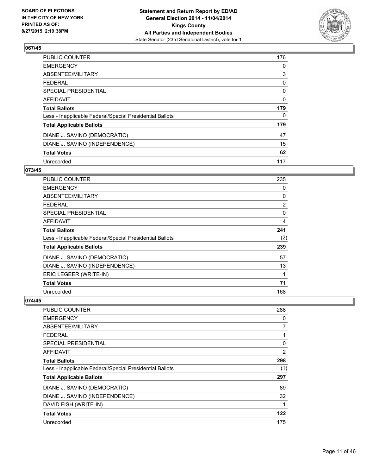

| PUBLIC COUNTER                                           | 176 |
|----------------------------------------------------------|-----|
| <b>EMERGENCY</b>                                         | 0   |
| ABSENTEE/MILITARY                                        | 3   |
| <b>FEDERAL</b>                                           | 0   |
| <b>SPECIAL PRESIDENTIAL</b>                              | 0   |
| AFFIDAVIT                                                | 0   |
| <b>Total Ballots</b>                                     | 179 |
| Less - Inapplicable Federal/Special Presidential Ballots | 0   |
| <b>Total Applicable Ballots</b>                          | 179 |
| DIANE J. SAVINO (DEMOCRATIC)                             | 47  |
| DIANE J. SAVINO (INDEPENDENCE)                           | 15  |
| <b>Total Votes</b>                                       | 62  |
| Unrecorded                                               | 117 |

# **073/45**

| PUBLIC COUNTER                                           | 235 |
|----------------------------------------------------------|-----|
| <b>EMERGENCY</b>                                         | 0   |
| ABSENTEE/MILITARY                                        | 0   |
| FEDERAL                                                  | 2   |
| <b>SPECIAL PRESIDENTIAL</b>                              | 0   |
| AFFIDAVIT                                                | 4   |
| <b>Total Ballots</b>                                     | 241 |
| Less - Inapplicable Federal/Special Presidential Ballots | (2) |
| <b>Total Applicable Ballots</b>                          | 239 |
| DIANE J. SAVINO (DEMOCRATIC)                             | 57  |
| DIANE J. SAVINO (INDEPENDENCE)                           | 13  |
| ERIC LEGEER (WRITE-IN)                                   | 1   |
| <b>Total Votes</b>                                       | 71  |
| Unrecorded                                               | 168 |

| PUBLIC COUNTER                                           | 288 |
|----------------------------------------------------------|-----|
| <b>EMERGENCY</b>                                         | 0   |
| ABSENTEE/MILITARY                                        | 7   |
| <b>FEDERAL</b>                                           | 1   |
| SPECIAL PRESIDENTIAL                                     | 0   |
| AFFIDAVIT                                                | 2   |
| <b>Total Ballots</b>                                     | 298 |
| Less - Inapplicable Federal/Special Presidential Ballots | (1) |
| <b>Total Applicable Ballots</b>                          | 297 |
| DIANE J. SAVINO (DEMOCRATIC)                             | 89  |
| DIANE J. SAVINO (INDEPENDENCE)                           | 32  |
| DAVID FISH (WRITE-IN)                                    | 1   |
| <b>Total Votes</b>                                       | 122 |
| Unrecorded                                               | 175 |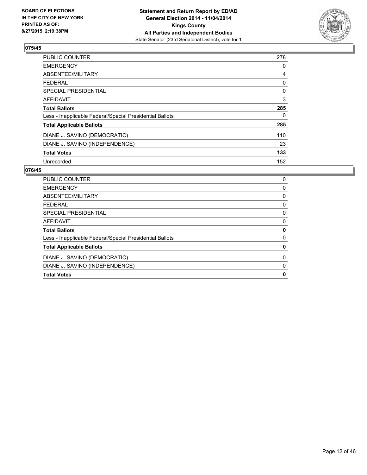

| <b>PUBLIC COUNTER</b>                                    | 278 |
|----------------------------------------------------------|-----|
| <b>EMERGENCY</b>                                         | 0   |
| ABSENTEE/MILITARY                                        | 4   |
| <b>FEDERAL</b>                                           | 0   |
| SPECIAL PRESIDENTIAL                                     | 0   |
| <b>AFFIDAVIT</b>                                         | 3   |
| <b>Total Ballots</b>                                     | 285 |
| Less - Inapplicable Federal/Special Presidential Ballots | 0   |
| <b>Total Applicable Ballots</b>                          | 285 |
| DIANE J. SAVINO (DEMOCRATIC)                             | 110 |
| DIANE J. SAVINO (INDEPENDENCE)                           | 23  |
| <b>Total Votes</b>                                       | 133 |
| Unrecorded                                               | 152 |

| <b>PUBLIC COUNTER</b>                                    | 0 |
|----------------------------------------------------------|---|
| <b>EMERGENCY</b>                                         | 0 |
| ABSENTEE/MILITARY                                        | 0 |
| FEDERAL                                                  | 0 |
| SPECIAL PRESIDENTIAL                                     | 0 |
| AFFIDAVIT                                                | 0 |
| <b>Total Ballots</b>                                     | 0 |
| Less - Inapplicable Federal/Special Presidential Ballots | 0 |
| <b>Total Applicable Ballots</b>                          | 0 |
| DIANE J. SAVINO (DEMOCRATIC)                             | 0 |
| DIANE J. SAVINO (INDEPENDENCE)                           | 0 |
| <b>Total Votes</b>                                       | 0 |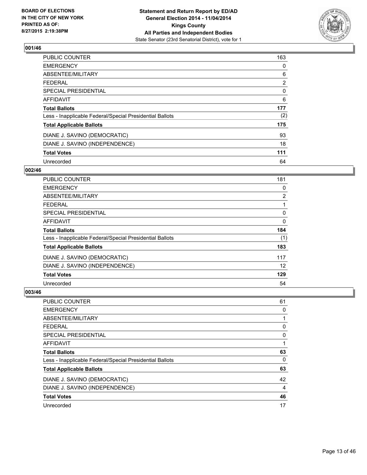

| <b>PUBLIC COUNTER</b>                                    | 163            |
|----------------------------------------------------------|----------------|
| <b>EMERGENCY</b>                                         | 0              |
| ABSENTEE/MILITARY                                        | 6              |
| <b>FEDERAL</b>                                           | $\overline{2}$ |
| SPECIAL PRESIDENTIAL                                     | 0              |
| <b>AFFIDAVIT</b>                                         | 6              |
| <b>Total Ballots</b>                                     | 177            |
| Less - Inapplicable Federal/Special Presidential Ballots | (2)            |
| <b>Total Applicable Ballots</b>                          | 175            |
| DIANE J. SAVINO (DEMOCRATIC)                             | 93             |
| DIANE J. SAVINO (INDEPENDENCE)                           | 18             |
| <b>Total Votes</b>                                       | 111            |
| Unrecorded                                               | 64             |

#### **002/46**

| <b>PUBLIC COUNTER</b>                                    | 181 |
|----------------------------------------------------------|-----|
| <b>EMERGENCY</b>                                         | 0   |
| ABSENTEE/MILITARY                                        | 2   |
| <b>FEDERAL</b>                                           |     |
| <b>SPECIAL PRESIDENTIAL</b>                              | 0   |
| <b>AFFIDAVIT</b>                                         | 0   |
| <b>Total Ballots</b>                                     | 184 |
| Less - Inapplicable Federal/Special Presidential Ballots | (1) |
| <b>Total Applicable Ballots</b>                          | 183 |
| DIANE J. SAVINO (DEMOCRATIC)                             | 117 |
| DIANE J. SAVINO (INDEPENDENCE)                           | 12  |
| <b>Total Votes</b>                                       | 129 |
| Unrecorded                                               | 54  |

| PUBLIC COUNTER                                           | 61 |
|----------------------------------------------------------|----|
| <b>EMERGENCY</b>                                         | 0  |
| ABSENTEE/MILITARY                                        | 1  |
| <b>FEDERAL</b>                                           | 0  |
| <b>SPECIAL PRESIDENTIAL</b>                              | 0  |
| AFFIDAVIT                                                |    |
| <b>Total Ballots</b>                                     | 63 |
| Less - Inapplicable Federal/Special Presidential Ballots | 0  |
| <b>Total Applicable Ballots</b>                          | 63 |
| DIANE J. SAVINO (DEMOCRATIC)                             | 42 |
| DIANE J. SAVINO (INDEPENDENCE)                           | 4  |
| <b>Total Votes</b>                                       | 46 |
| Unrecorded                                               | 17 |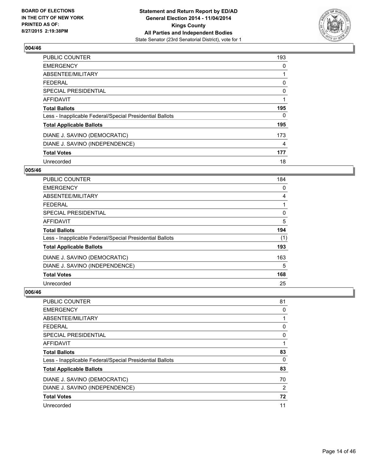

| PUBLIC COUNTER                                           | 193 |
|----------------------------------------------------------|-----|
| <b>EMERGENCY</b>                                         | 0   |
| ABSENTEE/MILITARY                                        |     |
| <b>FEDERAL</b>                                           | 0   |
| SPECIAL PRESIDENTIAL                                     | 0   |
| AFFIDAVIT                                                | 1   |
| <b>Total Ballots</b>                                     | 195 |
| Less - Inapplicable Federal/Special Presidential Ballots | 0   |
| <b>Total Applicable Ballots</b>                          | 195 |
| DIANE J. SAVINO (DEMOCRATIC)                             | 173 |
| DIANE J. SAVINO (INDEPENDENCE)                           | 4   |
| <b>Total Votes</b>                                       | 177 |
| Unrecorded                                               | 18  |

## **005/46**

| PUBLIC COUNTER                                           | 184 |
|----------------------------------------------------------|-----|
| <b>EMERGENCY</b>                                         | 0   |
| ABSENTEE/MILITARY                                        | 4   |
| <b>FEDERAL</b>                                           |     |
| SPECIAL PRESIDENTIAL                                     | 0   |
| <b>AFFIDAVIT</b>                                         | 5   |
| <b>Total Ballots</b>                                     | 194 |
| Less - Inapplicable Federal/Special Presidential Ballots | (1) |
| <b>Total Applicable Ballots</b>                          | 193 |
| DIANE J. SAVINO (DEMOCRATIC)                             | 163 |
| DIANE J. SAVINO (INDEPENDENCE)                           | 5   |
| <b>Total Votes</b>                                       | 168 |
| Unrecorded                                               | 25  |

| <b>PUBLIC COUNTER</b>                                    | 81 |
|----------------------------------------------------------|----|
| <b>EMERGENCY</b>                                         | 0  |
| ABSENTEE/MILITARY                                        |    |
| <b>FEDERAL</b>                                           | 0  |
| SPECIAL PRESIDENTIAL                                     | 0  |
| <b>AFFIDAVIT</b>                                         |    |
| <b>Total Ballots</b>                                     | 83 |
| Less - Inapplicable Federal/Special Presidential Ballots | 0  |
| <b>Total Applicable Ballots</b>                          | 83 |
| DIANE J. SAVINO (DEMOCRATIC)                             | 70 |
| DIANE J. SAVINO (INDEPENDENCE)                           | 2  |
| <b>Total Votes</b>                                       | 72 |
| Unrecorded                                               | 11 |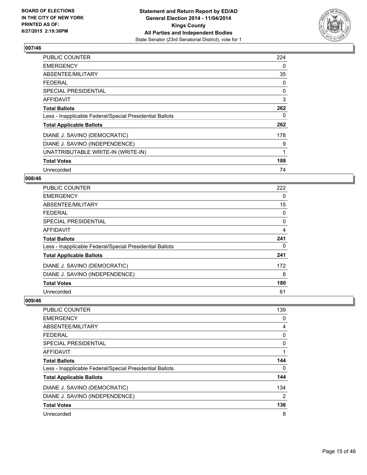

| PUBLIC COUNTER                                           | 224          |
|----------------------------------------------------------|--------------|
| <b>EMERGENCY</b>                                         | 0            |
| ABSENTEE/MILITARY                                        | 35           |
| <b>FEDERAL</b>                                           | 0            |
| <b>SPECIAL PRESIDENTIAL</b>                              | 0            |
| AFFIDAVIT                                                | 3            |
| <b>Total Ballots</b>                                     | 262          |
| Less - Inapplicable Federal/Special Presidential Ballots | 0            |
| <b>Total Applicable Ballots</b>                          | 262          |
| DIANE J. SAVINO (DEMOCRATIC)                             | 178          |
| DIANE J. SAVINO (INDEPENDENCE)                           | 9            |
| UNATTRIBUTABLE WRITE-IN (WRITE-IN)                       | $\mathbf{1}$ |
| <b>Total Votes</b>                                       | 188          |
| Unrecorded                                               | 74           |

# **008/46**

| <b>PUBLIC COUNTER</b>                                    | 222 |
|----------------------------------------------------------|-----|
| <b>EMERGENCY</b>                                         | 0   |
| ABSENTEE/MILITARY                                        | 15  |
| <b>FEDERAL</b>                                           | 0   |
| SPECIAL PRESIDENTIAL                                     | 0   |
| AFFIDAVIT                                                | 4   |
| <b>Total Ballots</b>                                     | 241 |
| Less - Inapplicable Federal/Special Presidential Ballots | 0   |
| <b>Total Applicable Ballots</b>                          | 241 |
| DIANE J. SAVINO (DEMOCRATIC)                             | 172 |
| DIANE J. SAVINO (INDEPENDENCE)                           | 8   |
| <b>Total Votes</b>                                       | 180 |
| Unrecorded                                               | 61  |

| <b>PUBLIC COUNTER</b>                                    | 139            |
|----------------------------------------------------------|----------------|
| <b>EMERGENCY</b>                                         | 0              |
| ABSENTEE/MILITARY                                        | 4              |
| <b>FEDERAL</b>                                           | 0              |
| <b>SPECIAL PRESIDENTIAL</b>                              | 0              |
| <b>AFFIDAVIT</b>                                         |                |
| <b>Total Ballots</b>                                     | 144            |
| Less - Inapplicable Federal/Special Presidential Ballots | 0              |
| <b>Total Applicable Ballots</b>                          | 144            |
| DIANE J. SAVINO (DEMOCRATIC)                             | 134            |
| DIANE J. SAVINO (INDEPENDENCE)                           | $\overline{2}$ |
| <b>Total Votes</b>                                       | 136            |
| Unrecorded                                               | 8              |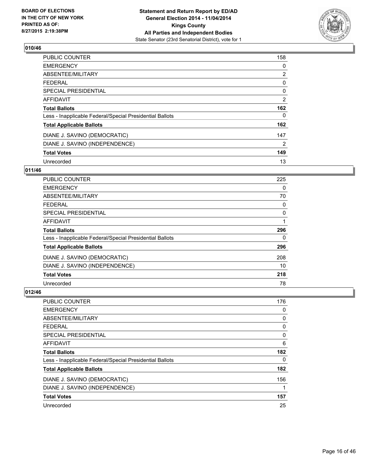

| <b>PUBLIC COUNTER</b>                                    | 158 |
|----------------------------------------------------------|-----|
| <b>EMERGENCY</b>                                         | 0   |
| ABSENTEE/MILITARY                                        | 2   |
| <b>FEDERAL</b>                                           | 0   |
| SPECIAL PRESIDENTIAL                                     | 0   |
| <b>AFFIDAVIT</b>                                         | 2   |
| <b>Total Ballots</b>                                     | 162 |
| Less - Inapplicable Federal/Special Presidential Ballots | 0   |
| <b>Total Applicable Ballots</b>                          | 162 |
| DIANE J. SAVINO (DEMOCRATIC)                             | 147 |
| DIANE J. SAVINO (INDEPENDENCE)                           | 2   |
| <b>Total Votes</b>                                       | 149 |
| Unrecorded                                               | 13  |

# **011/46**

| <b>PUBLIC COUNTER</b>                                    | 225 |
|----------------------------------------------------------|-----|
| <b>EMERGENCY</b>                                         | 0   |
| ABSENTEE/MILITARY                                        | 70  |
| FEDERAL                                                  | 0   |
| SPECIAL PRESIDENTIAL                                     | 0   |
| <b>AFFIDAVIT</b>                                         |     |
| <b>Total Ballots</b>                                     | 296 |
| Less - Inapplicable Federal/Special Presidential Ballots | 0   |
| <b>Total Applicable Ballots</b>                          | 296 |
| DIANE J. SAVINO (DEMOCRATIC)                             | 208 |
| DIANE J. SAVINO (INDEPENDENCE)                           | 10  |
| <b>Total Votes</b>                                       | 218 |
| Unrecorded                                               | 78  |

| <b>PUBLIC COUNTER</b>                                    | 176 |
|----------------------------------------------------------|-----|
| <b>EMERGENCY</b>                                         | 0   |
| ABSENTEE/MILITARY                                        | 0   |
| <b>FEDERAL</b>                                           | 0   |
| SPECIAL PRESIDENTIAL                                     | 0   |
| <b>AFFIDAVIT</b>                                         | 6   |
| <b>Total Ballots</b>                                     | 182 |
| Less - Inapplicable Federal/Special Presidential Ballots | 0   |
| <b>Total Applicable Ballots</b>                          | 182 |
| DIANE J. SAVINO (DEMOCRATIC)                             | 156 |
| DIANE J. SAVINO (INDEPENDENCE)                           | 1   |
| <b>Total Votes</b>                                       | 157 |
| Unrecorded                                               | 25  |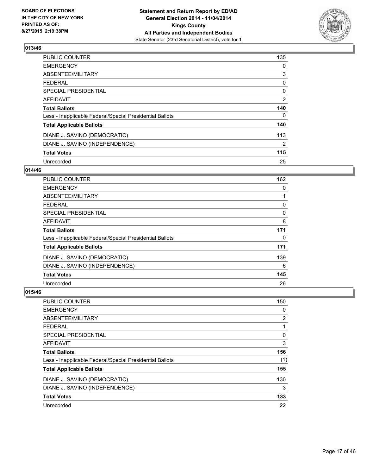

| <b>PUBLIC COUNTER</b>                                    | 135 |
|----------------------------------------------------------|-----|
| <b>EMERGENCY</b>                                         | 0   |
| ABSENTEE/MILITARY                                        | 3   |
| <b>FEDERAL</b>                                           | 0   |
| SPECIAL PRESIDENTIAL                                     | 0   |
| <b>AFFIDAVIT</b>                                         | 2   |
| <b>Total Ballots</b>                                     | 140 |
| Less - Inapplicable Federal/Special Presidential Ballots | 0   |
| <b>Total Applicable Ballots</b>                          | 140 |
| DIANE J. SAVINO (DEMOCRATIC)                             | 113 |
| DIANE J. SAVINO (INDEPENDENCE)                           | 2   |
| <b>Total Votes</b>                                       | 115 |
| Unrecorded                                               | 25  |

# **014/46**

| <b>PUBLIC COUNTER</b>                                    | 162 |
|----------------------------------------------------------|-----|
| <b>EMERGENCY</b>                                         | 0   |
| ABSENTEE/MILITARY                                        |     |
| FFDFRAI                                                  | 0   |
| <b>SPECIAL PRESIDENTIAL</b>                              | 0   |
| <b>AFFIDAVIT</b>                                         | 8   |
| <b>Total Ballots</b>                                     | 171 |
| Less - Inapplicable Federal/Special Presidential Ballots | 0   |
| <b>Total Applicable Ballots</b>                          | 171 |
| DIANE J. SAVINO (DEMOCRATIC)                             | 139 |
| DIANE J. SAVINO (INDEPENDENCE)                           | 6   |
| <b>Total Votes</b>                                       | 145 |
| Unrecorded                                               | 26  |

| PUBLIC COUNTER                                           | 150 |
|----------------------------------------------------------|-----|
| <b>EMERGENCY</b>                                         | 0   |
| ABSENTEE/MILITARY                                        | 2   |
| <b>FEDERAL</b>                                           |     |
| SPECIAL PRESIDENTIAL                                     | 0   |
| <b>AFFIDAVIT</b>                                         | 3   |
| <b>Total Ballots</b>                                     | 156 |
| Less - Inapplicable Federal/Special Presidential Ballots | (1) |
| <b>Total Applicable Ballots</b>                          | 155 |
| DIANE J. SAVINO (DEMOCRATIC)                             | 130 |
| DIANE J. SAVINO (INDEPENDENCE)                           | 3   |
| <b>Total Votes</b>                                       | 133 |
| Unrecorded                                               | 22  |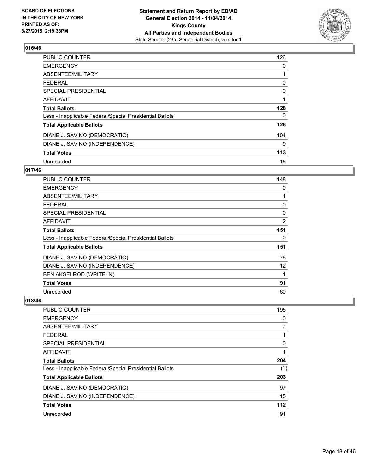

| <b>PUBLIC COUNTER</b>                                    | 126 |
|----------------------------------------------------------|-----|
| <b>EMERGENCY</b>                                         | 0   |
| ABSENTEE/MILITARY                                        |     |
| <b>FEDERAL</b>                                           | 0   |
| SPECIAL PRESIDENTIAL                                     | 0   |
| <b>AFFIDAVIT</b>                                         |     |
| <b>Total Ballots</b>                                     | 128 |
| Less - Inapplicable Federal/Special Presidential Ballots | 0   |
| <b>Total Applicable Ballots</b>                          | 128 |
| DIANE J. SAVINO (DEMOCRATIC)                             | 104 |
| DIANE J. SAVINO (INDEPENDENCE)                           | 9   |
| <b>Total Votes</b>                                       | 113 |
| Unrecorded                                               | 15  |

# **017/46**

| <b>PUBLIC COUNTER</b>                                    | 148 |
|----------------------------------------------------------|-----|
| <b>EMERGENCY</b>                                         | 0   |
| ABSENTEE/MILITARY                                        |     |
| <b>FEDERAL</b>                                           | 0   |
| SPECIAL PRESIDENTIAL                                     | 0   |
| AFFIDAVIT                                                | 2   |
| <b>Total Ballots</b>                                     | 151 |
| Less - Inapplicable Federal/Special Presidential Ballots | 0   |
| <b>Total Applicable Ballots</b>                          | 151 |
| DIANE J. SAVINO (DEMOCRATIC)                             | 78  |
| DIANE J. SAVINO (INDEPENDENCE)                           | 12  |
| BEN AKSELROD (WRITE-IN)                                  |     |
| <b>Total Votes</b>                                       | 91  |
| Unrecorded                                               | 60  |

| <b>PUBLIC COUNTER</b>                                    | 195   |
|----------------------------------------------------------|-------|
| <b>EMERGENCY</b>                                         | 0     |
| ABSENTEE/MILITARY                                        | 7     |
| <b>FEDERAL</b>                                           | 1     |
| SPECIAL PRESIDENTIAL                                     | 0     |
| <b>AFFIDAVIT</b>                                         | 1     |
| <b>Total Ballots</b>                                     | 204   |
| Less - Inapplicable Federal/Special Presidential Ballots | (1)   |
| <b>Total Applicable Ballots</b>                          | 203   |
| DIANE J. SAVINO (DEMOCRATIC)                             | 97    |
| DIANE J. SAVINO (INDEPENDENCE)                           | 15    |
| <b>Total Votes</b>                                       | $112$ |
| Unrecorded                                               | 91    |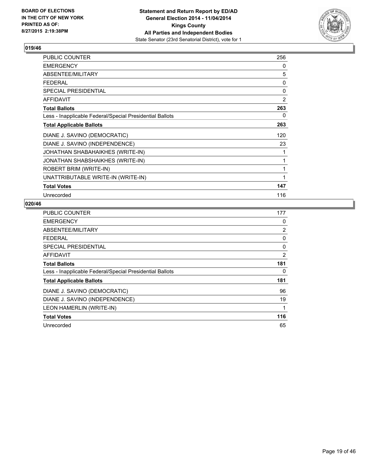

| PUBLIC COUNTER                                           | 256 |
|----------------------------------------------------------|-----|
| <b>EMERGENCY</b>                                         | 0   |
| ABSENTEE/MILITARY                                        | 5   |
| <b>FEDERAL</b>                                           | 0   |
| <b>SPECIAL PRESIDENTIAL</b>                              | 0   |
| AFFIDAVIT                                                | 2   |
| <b>Total Ballots</b>                                     | 263 |
| Less - Inapplicable Federal/Special Presidential Ballots | 0   |
| <b>Total Applicable Ballots</b>                          | 263 |
| DIANE J. SAVINO (DEMOCRATIC)                             | 120 |
| DIANE J. SAVINO (INDEPENDENCE)                           | 23  |
| JOHATHAN SHABAHAIKHES (WRITE-IN)                         | 1   |
| JONATHAN SHABSHAIKHES (WRITE-IN)                         | 1   |
| ROBERT BRIM (WRITE-IN)                                   | 1   |
| UNATTRIBUTABLE WRITE-IN (WRITE-IN)                       | 1   |
| <b>Total Votes</b>                                       | 147 |
| Unrecorded                                               | 116 |

| PUBLIC COUNTER                                           | 177            |
|----------------------------------------------------------|----------------|
| <b>EMERGENCY</b>                                         | 0              |
| ABSENTEE/MILITARY                                        | $\overline{2}$ |
| <b>FEDERAL</b>                                           | 0              |
| SPECIAL PRESIDENTIAL                                     | 0              |
| AFFIDAVIT                                                | 2              |
| <b>Total Ballots</b>                                     | 181            |
| Less - Inapplicable Federal/Special Presidential Ballots | 0              |
| <b>Total Applicable Ballots</b>                          | 181            |
| DIANE J. SAVINO (DEMOCRATIC)                             | 96             |
| DIANE J. SAVINO (INDEPENDENCE)                           | 19             |
| LEON HAMERLIN (WRITE-IN)                                 | 1              |
| <b>Total Votes</b>                                       | 116            |
| Unrecorded                                               | 65             |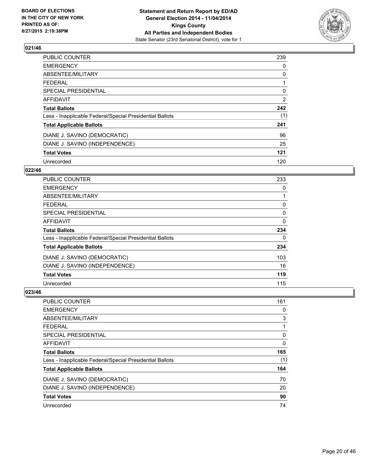

| PUBLIC COUNTER                                           | 239 |
|----------------------------------------------------------|-----|
| <b>EMERGENCY</b>                                         | 0   |
| ABSENTEE/MILITARY                                        | 0   |
| <b>FEDERAL</b>                                           |     |
| <b>SPECIAL PRESIDENTIAL</b>                              | 0   |
| AFFIDAVIT                                                | 2   |
| <b>Total Ballots</b>                                     | 242 |
| Less - Inapplicable Federal/Special Presidential Ballots | (1) |
| <b>Total Applicable Ballots</b>                          | 241 |
| DIANE J. SAVINO (DEMOCRATIC)                             | 96  |
| DIANE J. SAVINO (INDEPENDENCE)                           | 25  |
| <b>Total Votes</b>                                       | 121 |
| Unrecorded                                               | 120 |

# **022/46**

| <b>PUBLIC COUNTER</b>                                    | 233 |
|----------------------------------------------------------|-----|
| <b>EMERGENCY</b>                                         | 0   |
| ABSENTEE/MILITARY                                        |     |
| <b>FEDERAL</b>                                           | 0   |
| SPECIAL PRESIDENTIAL                                     | 0   |
| <b>AFFIDAVIT</b>                                         | 0   |
| <b>Total Ballots</b>                                     | 234 |
| Less - Inapplicable Federal/Special Presidential Ballots | 0   |
| <b>Total Applicable Ballots</b>                          | 234 |
| DIANE J. SAVINO (DEMOCRATIC)                             | 103 |
| DIANE J. SAVINO (INDEPENDENCE)                           | 16  |
| <b>Total Votes</b>                                       | 119 |
| Unrecorded                                               | 115 |

| <b>PUBLIC COUNTER</b>                                    | 161 |
|----------------------------------------------------------|-----|
| <b>EMERGENCY</b>                                         | 0   |
| ABSENTEE/MILITARY                                        | 3   |
| FEDERAL                                                  | 1   |
| SPECIAL PRESIDENTIAL                                     | 0   |
| <b>AFFIDAVIT</b>                                         | 0   |
| <b>Total Ballots</b>                                     | 165 |
| Less - Inapplicable Federal/Special Presidential Ballots | (1) |
| <b>Total Applicable Ballots</b>                          | 164 |
| DIANE J. SAVINO (DEMOCRATIC)                             | 70  |
| DIANE J. SAVINO (INDEPENDENCE)                           | 20  |
| <b>Total Votes</b>                                       | 90  |
| Unrecorded                                               | 74  |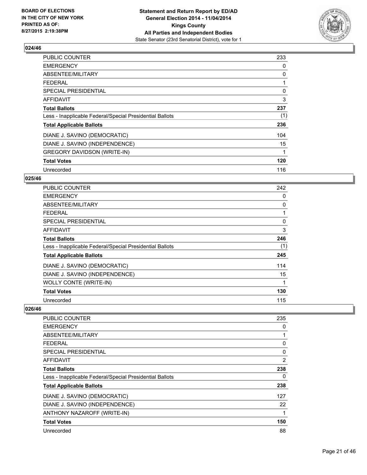

| <b>PUBLIC COUNTER</b>                                    | 233 |
|----------------------------------------------------------|-----|
| <b>EMERGENCY</b>                                         | 0   |
| ABSENTEE/MILITARY                                        | 0   |
| FEDERAL                                                  | 1   |
| SPECIAL PRESIDENTIAL                                     | 0   |
| <b>AFFIDAVIT</b>                                         | 3   |
| <b>Total Ballots</b>                                     | 237 |
| Less - Inapplicable Federal/Special Presidential Ballots | (1) |
| <b>Total Applicable Ballots</b>                          | 236 |
| DIANE J. SAVINO (DEMOCRATIC)                             | 104 |
| DIANE J. SAVINO (INDEPENDENCE)                           | 15  |
| <b>GREGORY DAVIDSON (WRITE-IN)</b>                       | 1   |
| <b>Total Votes</b>                                       | 120 |
| Unrecorded                                               | 116 |

# **025/46**

| PUBLIC COUNTER                                           | 242 |
|----------------------------------------------------------|-----|
| <b>EMERGENCY</b>                                         | 0   |
| ABSENTEE/MILITARY                                        | 0   |
| <b>FEDERAL</b>                                           |     |
| SPECIAL PRESIDENTIAL                                     | 0   |
| AFFIDAVIT                                                | 3   |
| <b>Total Ballots</b>                                     | 246 |
| Less - Inapplicable Federal/Special Presidential Ballots | (1) |
| <b>Total Applicable Ballots</b>                          | 245 |
| DIANE J. SAVINO (DEMOCRATIC)                             | 114 |
| DIANE J. SAVINO (INDEPENDENCE)                           | 15  |
| <b>WOLLY CONTE (WRITE-IN)</b>                            | 1   |
| <b>Total Votes</b>                                       | 130 |
| Unrecorded                                               | 115 |

| <b>PUBLIC COUNTER</b>                                    | 235 |
|----------------------------------------------------------|-----|
| <b>EMERGENCY</b>                                         | 0   |
| ABSENTEE/MILITARY                                        |     |
| FEDERAL                                                  | 0   |
| SPECIAL PRESIDENTIAL                                     | 0   |
| AFFIDAVIT                                                | 2   |
| <b>Total Ballots</b>                                     | 238 |
| Less - Inapplicable Federal/Special Presidential Ballots | 0   |
| <b>Total Applicable Ballots</b>                          | 238 |
| DIANE J. SAVINO (DEMOCRATIC)                             | 127 |
| DIANE J. SAVINO (INDEPENDENCE)                           | 22  |
| ANTHONY NAZAROFF (WRITE-IN)                              | 1   |
| <b>Total Votes</b>                                       | 150 |
| Unrecorded                                               | 88  |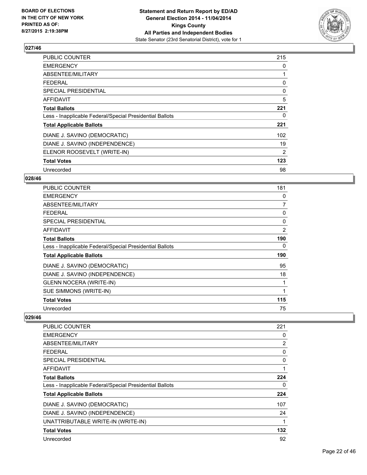

| <b>PUBLIC COUNTER</b>                                    | 215 |
|----------------------------------------------------------|-----|
| <b>EMERGENCY</b>                                         | 0   |
| ABSENTEE/MILITARY                                        | 1   |
| <b>FEDERAL</b>                                           | 0   |
| <b>SPECIAL PRESIDENTIAL</b>                              | 0   |
| AFFIDAVIT                                                | 5   |
| <b>Total Ballots</b>                                     | 221 |
| Less - Inapplicable Federal/Special Presidential Ballots | 0   |
| <b>Total Applicable Ballots</b>                          | 221 |
| DIANE J. SAVINO (DEMOCRATIC)                             | 102 |
| DIANE J. SAVINO (INDEPENDENCE)                           | 19  |
| ELENOR ROOSEVELT (WRITE-IN)                              | 2   |
| <b>Total Votes</b>                                       | 123 |
| Unrecorded                                               | 98  |

# **028/46**

| <b>PUBLIC COUNTER</b>                                    | 181 |
|----------------------------------------------------------|-----|
| <b>EMERGENCY</b>                                         | 0   |
| ABSENTEE/MILITARY                                        | 7   |
| <b>FEDERAL</b>                                           | 0   |
| <b>SPECIAL PRESIDENTIAL</b>                              | 0   |
| AFFIDAVIT                                                | 2   |
| <b>Total Ballots</b>                                     | 190 |
| Less - Inapplicable Federal/Special Presidential Ballots | 0   |
| <b>Total Applicable Ballots</b>                          | 190 |
| DIANE J. SAVINO (DEMOCRATIC)                             | 95  |
| DIANE J. SAVINO (INDEPENDENCE)                           | 18  |
| <b>GLENN NOCERA (WRITE-IN)</b>                           |     |
| SUE SIMMONS (WRITE-IN)                                   | 1   |
| <b>Total Votes</b>                                       | 115 |
| Unrecorded                                               | 75  |

| <b>PUBLIC COUNTER</b>                                    | 221 |
|----------------------------------------------------------|-----|
| <b>EMERGENCY</b>                                         | 0   |
| ABSENTEE/MILITARY                                        | 2   |
| <b>FEDERAL</b>                                           | 0   |
| SPECIAL PRESIDENTIAL                                     | 0   |
| AFFIDAVIT                                                | 1   |
| <b>Total Ballots</b>                                     | 224 |
| Less - Inapplicable Federal/Special Presidential Ballots | 0   |
| <b>Total Applicable Ballots</b>                          | 224 |
| DIANE J. SAVINO (DEMOCRATIC)                             | 107 |
| DIANE J. SAVINO (INDEPENDENCE)                           | 24  |
| UNATTRIBUTABLE WRITE-IN (WRITE-IN)                       | 1   |
| <b>Total Votes</b>                                       | 132 |
| Unrecorded                                               | 92  |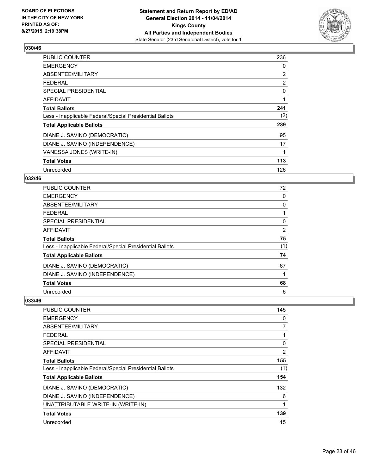

| PUBLIC COUNTER                                           | 236            |
|----------------------------------------------------------|----------------|
| <b>EMERGENCY</b>                                         | 0              |
| ABSENTEE/MILITARY                                        | 2              |
| <b>FEDERAL</b>                                           | $\overline{2}$ |
| <b>SPECIAL PRESIDENTIAL</b>                              | 0              |
| AFFIDAVIT                                                | 1              |
| <b>Total Ballots</b>                                     | 241            |
| Less - Inapplicable Federal/Special Presidential Ballots | (2)            |
| <b>Total Applicable Ballots</b>                          | 239            |
| DIANE J. SAVINO (DEMOCRATIC)                             | 95             |
| DIANE J. SAVINO (INDEPENDENCE)                           | 17             |
| VANESSA JONES (WRITE-IN)                                 | 1              |
| <b>Total Votes</b>                                       | 113            |
| Unrecorded                                               | 126            |

# **032/46**

| PUBLIC COUNTER                                           | 72             |
|----------------------------------------------------------|----------------|
| <b>EMERGENCY</b>                                         | 0              |
| ABSENTEE/MILITARY                                        | 0              |
| <b>FEDERAL</b>                                           |                |
| SPECIAL PRESIDENTIAL                                     | 0              |
| <b>AFFIDAVIT</b>                                         | $\overline{2}$ |
| <b>Total Ballots</b>                                     | 75             |
| Less - Inapplicable Federal/Special Presidential Ballots | (1)            |
| <b>Total Applicable Ballots</b>                          | 74             |
| DIANE J. SAVINO (DEMOCRATIC)                             | 67             |
| DIANE J. SAVINO (INDEPENDENCE)                           |                |
| <b>Total Votes</b>                                       | 68             |
| Unrecorded                                               | 6              |

| <b>PUBLIC COUNTER</b>                                    | 145 |
|----------------------------------------------------------|-----|
| <b>EMERGENCY</b>                                         | 0   |
| ABSENTEE/MILITARY                                        | 7   |
| <b>FEDERAL</b>                                           |     |
| SPECIAL PRESIDENTIAL                                     | 0   |
| AFFIDAVIT                                                | 2   |
| <b>Total Ballots</b>                                     | 155 |
| Less - Inapplicable Federal/Special Presidential Ballots | (1) |
| <b>Total Applicable Ballots</b>                          | 154 |
| DIANE J. SAVINO (DEMOCRATIC)                             | 132 |
| DIANE J. SAVINO (INDEPENDENCE)                           | 6   |
| UNATTRIBUTABLE WRITE-IN (WRITE-IN)                       | 1   |
| <b>Total Votes</b>                                       | 139 |
| Unrecorded                                               | 15  |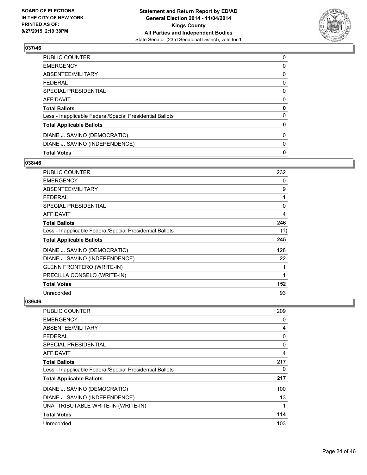

| <b>Total Votes</b>                                       | 0 |
|----------------------------------------------------------|---|
| DIANE J. SAVINO (INDEPENDENCE)                           | 0 |
| DIANE J. SAVINO (DEMOCRATIC)                             | 0 |
| <b>Total Applicable Ballots</b>                          | 0 |
| Less - Inapplicable Federal/Special Presidential Ballots | 0 |
| <b>Total Ballots</b>                                     | 0 |
| <b>AFFIDAVIT</b>                                         | 0 |
| <b>SPECIAL PRESIDENTIAL</b>                              | 0 |
| <b>FEDERAL</b>                                           | 0 |
| ABSENTEE/MILITARY                                        | 0 |
| <b>EMERGENCY</b>                                         | 0 |
| <b>PUBLIC COUNTER</b>                                    | 0 |

# **038/46**

| PUBLIC COUNTER                                           | 232 |
|----------------------------------------------------------|-----|
| <b>EMERGENCY</b>                                         | 0   |
| ABSENTEE/MILITARY                                        | 9   |
| <b>FEDERAL</b>                                           | 1   |
| SPECIAL PRESIDENTIAL                                     | 0   |
| AFFIDAVIT                                                | 4   |
| <b>Total Ballots</b>                                     | 246 |
| Less - Inapplicable Federal/Special Presidential Ballots | (1) |
| <b>Total Applicable Ballots</b>                          | 245 |
| DIANE J. SAVINO (DEMOCRATIC)                             | 128 |
| DIANE J. SAVINO (INDEPENDENCE)                           | 22  |
| <b>GLENN FRONTERO (WRITE-IN)</b>                         | 1   |
| PRECILLA CONSELO (WRITE-IN)                              | 1   |
| <b>Total Votes</b>                                       | 152 |
| Unrecorded                                               | 93  |

| PUBLIC COUNTER                                           | 209 |
|----------------------------------------------------------|-----|
| <b>EMERGENCY</b>                                         | 0   |
| ABSENTEE/MILITARY                                        | 4   |
| FEDERAL                                                  | 0   |
| <b>SPECIAL PRESIDENTIAL</b>                              | 0   |
| AFFIDAVIT                                                | 4   |
| <b>Total Ballots</b>                                     | 217 |
| Less - Inapplicable Federal/Special Presidential Ballots | 0   |
| <b>Total Applicable Ballots</b>                          | 217 |
| DIANE J. SAVINO (DEMOCRATIC)                             | 100 |
| DIANE J. SAVINO (INDEPENDENCE)                           | 13  |
| UNATTRIBUTABLE WRITE-IN (WRITE-IN)                       | 1   |
| <b>Total Votes</b>                                       | 114 |
| Unrecorded                                               | 103 |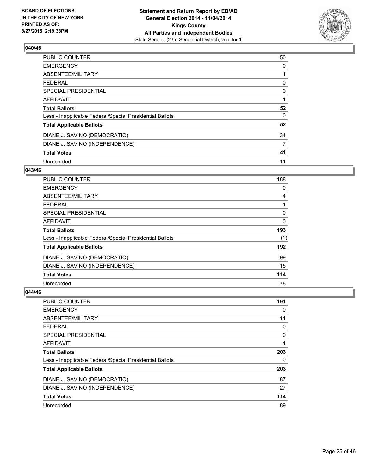

| PUBLIC COUNTER                                           | 50 |
|----------------------------------------------------------|----|
| <b>EMERGENCY</b>                                         | 0  |
| ABSENTEE/MILITARY                                        | 1  |
| <b>FEDERAL</b>                                           | 0  |
| <b>SPECIAL PRESIDENTIAL</b>                              | 0  |
| <b>AFFIDAVIT</b>                                         |    |
| <b>Total Ballots</b>                                     | 52 |
| Less - Inapplicable Federal/Special Presidential Ballots | 0  |
| <b>Total Applicable Ballots</b>                          | 52 |
| DIANE J. SAVINO (DEMOCRATIC)                             | 34 |
| DIANE J. SAVINO (INDEPENDENCE)                           | 7  |
| <b>Total Votes</b>                                       | 41 |
| Unrecorded                                               | 11 |

#### **043/46**

| <b>PUBLIC COUNTER</b>                                    | 188      |
|----------------------------------------------------------|----------|
| <b>EMERGENCY</b>                                         | 0        |
| ABSENTEE/MILITARY                                        | 4        |
| <b>FEDERAL</b>                                           |          |
| SPECIAL PRESIDENTIAL                                     | 0        |
| <b>AFFIDAVIT</b>                                         | $\Omega$ |
| <b>Total Ballots</b>                                     | 193      |
| Less - Inapplicable Federal/Special Presidential Ballots | (1)      |
| <b>Total Applicable Ballots</b>                          | 192      |
| DIANE J. SAVINO (DEMOCRATIC)                             | 99       |
| DIANE J. SAVINO (INDEPENDENCE)                           | 15       |
| <b>Total Votes</b>                                       | 114      |
| Unrecorded                                               | 78       |

| PUBLIC COUNTER                                           | 191 |
|----------------------------------------------------------|-----|
| <b>EMERGENCY</b>                                         | 0   |
| ABSENTEE/MILITARY                                        | 11  |
| <b>FEDERAL</b>                                           | 0   |
| <b>SPECIAL PRESIDENTIAL</b>                              | 0   |
| AFFIDAVIT                                                | 1   |
| <b>Total Ballots</b>                                     | 203 |
| Less - Inapplicable Federal/Special Presidential Ballots | 0   |
| <b>Total Applicable Ballots</b>                          | 203 |
| DIANE J. SAVINO (DEMOCRATIC)                             | 87  |
| DIANE J. SAVINO (INDEPENDENCE)                           | 27  |
| <b>Total Votes</b>                                       | 114 |
| Unrecorded                                               | 89  |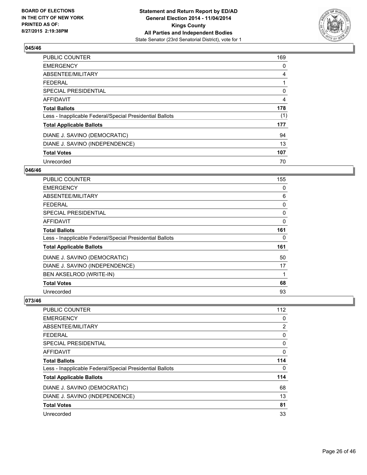

| PUBLIC COUNTER                                           | 169 |
|----------------------------------------------------------|-----|
| <b>EMERGENCY</b>                                         | 0   |
| ABSENTEE/MILITARY                                        | 4   |
| <b>FEDERAL</b>                                           | 1   |
| SPECIAL PRESIDENTIAL                                     | 0   |
| <b>AFFIDAVIT</b>                                         | 4   |
| <b>Total Ballots</b>                                     | 178 |
| Less - Inapplicable Federal/Special Presidential Ballots | (1) |
| <b>Total Applicable Ballots</b>                          | 177 |
| DIANE J. SAVINO (DEMOCRATIC)                             | 94  |
| DIANE J. SAVINO (INDEPENDENCE)                           | 13  |
| <b>Total Votes</b>                                       | 107 |
| Unrecorded                                               | 70  |

# **046/46**

| <b>PUBLIC COUNTER</b>                                    | 155 |
|----------------------------------------------------------|-----|
| <b>EMERGENCY</b>                                         | 0   |
| ABSENTEE/MILITARY                                        | 6   |
| <b>FEDERAL</b>                                           | 0   |
| SPECIAL PRESIDENTIAL                                     | 0   |
| AFFIDAVIT                                                | 0   |
| <b>Total Ballots</b>                                     | 161 |
| Less - Inapplicable Federal/Special Presidential Ballots | 0   |
| <b>Total Applicable Ballots</b>                          | 161 |
| DIANE J. SAVINO (DEMOCRATIC)                             | 50  |
| DIANE J. SAVINO (INDEPENDENCE)                           | 17  |
| BEN AKSELROD (WRITE-IN)                                  | 1   |
| <b>Total Votes</b>                                       | 68  |
| Unrecorded                                               | 93  |

| <b>PUBLIC COUNTER</b>                                    | 112 |
|----------------------------------------------------------|-----|
| <b>EMERGENCY</b>                                         | 0   |
| ABSENTEE/MILITARY                                        | 2   |
| <b>FEDERAL</b>                                           | 0   |
| <b>SPECIAL PRESIDENTIAL</b>                              | 0   |
| <b>AFFIDAVIT</b>                                         | 0   |
| <b>Total Ballots</b>                                     | 114 |
| Less - Inapplicable Federal/Special Presidential Ballots | 0   |
| <b>Total Applicable Ballots</b>                          | 114 |
| DIANE J. SAVINO (DEMOCRATIC)                             | 68  |
| DIANE J. SAVINO (INDEPENDENCE)                           | 13  |
| <b>Total Votes</b>                                       | 81  |
| Unrecorded                                               | 33  |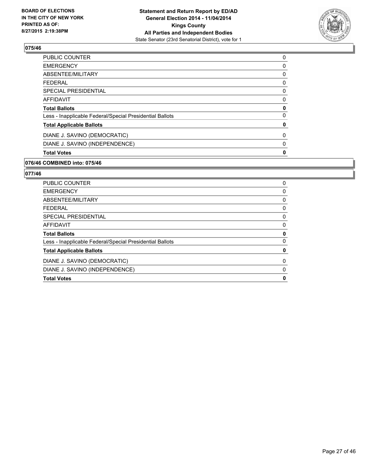

| <b>Total Votes</b>                                       | 0 |
|----------------------------------------------------------|---|
| DIANE J. SAVINO (INDEPENDENCE)                           | 0 |
| DIANE J. SAVINO (DEMOCRATIC)                             | 0 |
| <b>Total Applicable Ballots</b>                          | 0 |
| Less - Inapplicable Federal/Special Presidential Ballots | 0 |
| <b>Total Ballots</b>                                     | 0 |
| <b>AFFIDAVIT</b>                                         | 0 |
| <b>SPECIAL PRESIDENTIAL</b>                              | 0 |
| <b>FEDERAL</b>                                           | 0 |
| ABSENTEE/MILITARY                                        | 0 |
| <b>EMERGENCY</b>                                         | 0 |
| <b>PUBLIC COUNTER</b>                                    | 0 |

## **076/46 COMBINED into: 075/46**

| DIANE J. SAVINO (DEMOCRATIC)                             | 0 |
|----------------------------------------------------------|---|
| <b>Total Applicable Ballots</b>                          | 0 |
| Less - Inapplicable Federal/Special Presidential Ballots | 0 |
| <b>Total Ballots</b>                                     | 0 |
| <b>AFFIDAVIT</b>                                         | 0 |
| SPECIAL PRESIDENTIAL                                     | 0 |
| <b>FEDERAL</b>                                           | 0 |
| ABSENTEE/MILITARY                                        | 0 |
| <b>EMERGENCY</b>                                         | 0 |
| <b>PUBLIC COUNTER</b>                                    | 0 |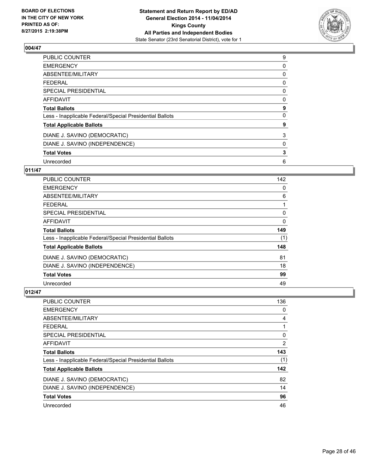

| <b>PUBLIC COUNTER</b>                                    | 9 |
|----------------------------------------------------------|---|
| <b>EMERGENCY</b>                                         | 0 |
| ABSENTEE/MILITARY                                        | 0 |
| <b>FEDERAL</b>                                           | 0 |
| SPECIAL PRESIDENTIAL                                     | 0 |
| <b>AFFIDAVIT</b>                                         | 0 |
| <b>Total Ballots</b>                                     | 9 |
| Less - Inapplicable Federal/Special Presidential Ballots | 0 |
| <b>Total Applicable Ballots</b>                          | 9 |
| DIANE J. SAVINO (DEMOCRATIC)                             | 3 |
| DIANE J. SAVINO (INDEPENDENCE)                           | 0 |
| <b>Total Votes</b>                                       | 3 |
| Unrecorded                                               | 6 |

# **011/47**

| <b>PUBLIC COUNTER</b>                                    | 142 |
|----------------------------------------------------------|-----|
| <b>EMERGENCY</b>                                         | 0   |
| ABSENTEE/MILITARY                                        | 6   |
| <b>FEDERAL</b>                                           |     |
| SPECIAL PRESIDENTIAL                                     | 0   |
| <b>AFFIDAVIT</b>                                         | 0   |
| <b>Total Ballots</b>                                     | 149 |
| Less - Inapplicable Federal/Special Presidential Ballots | (1) |
| <b>Total Applicable Ballots</b>                          | 148 |
| DIANE J. SAVINO (DEMOCRATIC)                             | 81  |
| DIANE J. SAVINO (INDEPENDENCE)                           | 18  |
| <b>Total Votes</b>                                       | 99  |
| Unrecorded                                               | 49  |

| <b>PUBLIC COUNTER</b>                                    | 136            |
|----------------------------------------------------------|----------------|
| <b>EMERGENCY</b>                                         | 0              |
| ABSENTEE/MILITARY                                        | 4              |
| <b>FEDERAL</b>                                           | 1              |
| <b>SPECIAL PRESIDENTIAL</b>                              | 0              |
| AFFIDAVIT                                                | $\overline{2}$ |
| <b>Total Ballots</b>                                     | 143            |
| Less - Inapplicable Federal/Special Presidential Ballots | (1)            |
| <b>Total Applicable Ballots</b>                          | 142            |
| DIANE J. SAVINO (DEMOCRATIC)                             | 82             |
| DIANE J. SAVINO (INDEPENDENCE)                           | 14             |
| <b>Total Votes</b>                                       | 96             |
| Unrecorded                                               | 46             |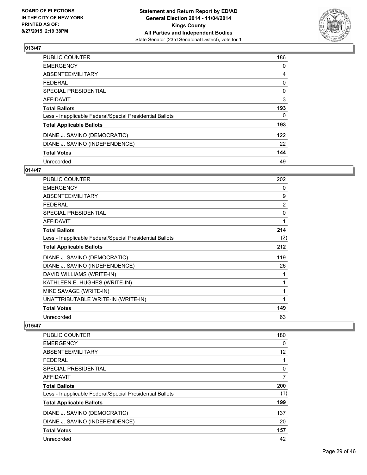

| <b>PUBLIC COUNTER</b>                                    | 186 |
|----------------------------------------------------------|-----|
| <b>EMERGENCY</b>                                         | 0   |
| ABSENTEE/MILITARY                                        | 4   |
| <b>FEDERAL</b>                                           | 0   |
| SPECIAL PRESIDENTIAL                                     | 0   |
| AFFIDAVIT                                                | 3   |
| <b>Total Ballots</b>                                     | 193 |
| Less - Inapplicable Federal/Special Presidential Ballots | 0   |
| <b>Total Applicable Ballots</b>                          | 193 |
| DIANE J. SAVINO (DEMOCRATIC)                             | 122 |
| DIANE J. SAVINO (INDEPENDENCE)                           | 22  |
| <b>Total Votes</b>                                       | 144 |
| Unrecorded                                               | 49  |

# **014/47**

| <b>PUBLIC COUNTER</b>                                    | 202            |
|----------------------------------------------------------|----------------|
| <b>EMERGENCY</b>                                         | 0              |
| ABSENTEE/MILITARY                                        | 9              |
| <b>FEDERAL</b>                                           | $\overline{2}$ |
| <b>SPECIAL PRESIDENTIAL</b>                              | 0              |
| <b>AFFIDAVIT</b>                                         | 1              |
| <b>Total Ballots</b>                                     | 214            |
| Less - Inapplicable Federal/Special Presidential Ballots | (2)            |
| <b>Total Applicable Ballots</b>                          | 212            |
| DIANE J. SAVINO (DEMOCRATIC)                             | 119            |
| DIANE J. SAVINO (INDEPENDENCE)                           | 26             |
| DAVID WILLIAMS (WRITE-IN)                                | 1              |
| KATHLEEN E. HUGHES (WRITE-IN)                            | $\mathbf{1}$   |
| MIKE SAVAGE (WRITE-IN)                                   | 1              |
| UNATTRIBUTABLE WRITE-IN (WRITE-IN)                       | 1              |
| <b>Total Votes</b>                                       | 149            |
| Unrecorded                                               | 63             |

| <b>PUBLIC COUNTER</b>                                    | 180 |
|----------------------------------------------------------|-----|
| <b>EMERGENCY</b>                                         | 0   |
| ABSENTEE/MILITARY                                        | 12  |
| <b>FEDERAL</b>                                           | 1   |
| SPECIAL PRESIDENTIAL                                     | 0   |
| <b>AFFIDAVIT</b>                                         | 7   |
| <b>Total Ballots</b>                                     | 200 |
| Less - Inapplicable Federal/Special Presidential Ballots | (1) |
| <b>Total Applicable Ballots</b>                          | 199 |
| DIANE J. SAVINO (DEMOCRATIC)                             | 137 |
| DIANE J. SAVINO (INDEPENDENCE)                           | 20  |
| <b>Total Votes</b>                                       | 157 |
| Unrecorded                                               | 42  |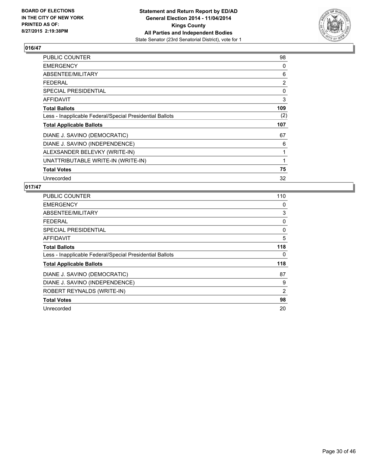

| PUBLIC COUNTER                                           | 98             |
|----------------------------------------------------------|----------------|
| <b>EMERGENCY</b>                                         | 0              |
| ABSENTEE/MILITARY                                        | 6              |
| <b>FEDERAL</b>                                           | $\overline{2}$ |
| <b>SPECIAL PRESIDENTIAL</b>                              | 0              |
| AFFIDAVIT                                                | 3              |
| <b>Total Ballots</b>                                     | 109            |
| Less - Inapplicable Federal/Special Presidential Ballots | (2)            |
| <b>Total Applicable Ballots</b>                          | 107            |
| DIANE J. SAVINO (DEMOCRATIC)                             | 67             |
| DIANE J. SAVINO (INDEPENDENCE)                           | 6              |
| ALEXSANDER BELEVKY (WRITE-IN)                            | 1              |
| UNATTRIBUTABLE WRITE-IN (WRITE-IN)                       | 1              |
| <b>Total Votes</b>                                       | 75             |
| Unrecorded                                               | 32             |

| <b>PUBLIC COUNTER</b>                                    | 110 |
|----------------------------------------------------------|-----|
| <b>EMERGENCY</b>                                         | 0   |
| ABSENTEE/MILITARY                                        | 3   |
| <b>FEDERAL</b>                                           | 0   |
| <b>SPECIAL PRESIDENTIAL</b>                              | 0   |
| <b>AFFIDAVIT</b>                                         | 5   |
| <b>Total Ballots</b>                                     | 118 |
| Less - Inapplicable Federal/Special Presidential Ballots | 0   |
| <b>Total Applicable Ballots</b>                          | 118 |
| DIANE J. SAVINO (DEMOCRATIC)                             | 87  |
| DIANE J. SAVINO (INDEPENDENCE)                           | 9   |
| ROBERT REYNALDS (WRITE-IN)                               | 2   |
| <b>Total Votes</b>                                       | 98  |
| Unrecorded                                               | 20  |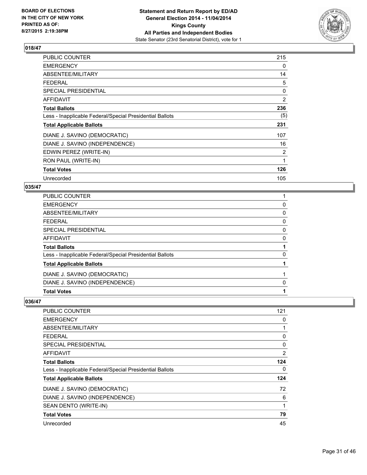

| PUBLIC COUNTER                                           | 215            |
|----------------------------------------------------------|----------------|
| <b>EMERGENCY</b>                                         | 0              |
| ABSENTEE/MILITARY                                        | 14             |
| <b>FEDERAL</b>                                           | 5              |
| SPECIAL PRESIDENTIAL                                     | 0              |
| AFFIDAVIT                                                | $\overline{2}$ |
| <b>Total Ballots</b>                                     | 236            |
| Less - Inapplicable Federal/Special Presidential Ballots | (5)            |
| <b>Total Applicable Ballots</b>                          | 231            |
| DIANE J. SAVINO (DEMOCRATIC)                             | 107            |
| DIANE J. SAVINO (INDEPENDENCE)                           | 16             |
| EDWIN PEREZ (WRITE-IN)                                   | $\overline{2}$ |
| RON PAUL (WRITE-IN)                                      | 1              |
| <b>Total Votes</b>                                       | 126            |
| Unrecorded                                               | 105            |

# **035/47**

| <b>PUBLIC COUNTER</b>                                    |   |
|----------------------------------------------------------|---|
| <b>EMERGENCY</b>                                         | 0 |
| ABSENTEE/MILITARY                                        | 0 |
| <b>FEDERAL</b>                                           | 0 |
| SPECIAL PRESIDENTIAL                                     | 0 |
| <b>AFFIDAVIT</b>                                         | 0 |
| <b>Total Ballots</b>                                     |   |
| Less - Inapplicable Federal/Special Presidential Ballots | 0 |
| <b>Total Applicable Ballots</b>                          |   |
| DIANE J. SAVINO (DEMOCRATIC)                             |   |
| DIANE J. SAVINO (INDEPENDENCE)                           | 0 |
|                                                          |   |

| <b>PUBLIC COUNTER</b>                                    | 121      |
|----------------------------------------------------------|----------|
| <b>EMERGENCY</b>                                         | 0        |
| ABSENTEE/MILITARY                                        |          |
| FEDERAL                                                  | 0        |
| <b>SPECIAL PRESIDENTIAL</b>                              | $\Omega$ |
| AFFIDAVIT                                                | 2        |
| <b>Total Ballots</b>                                     | 124      |
| Less - Inapplicable Federal/Special Presidential Ballots | 0        |
| <b>Total Applicable Ballots</b>                          | 124      |
| DIANE J. SAVINO (DEMOCRATIC)                             | 72       |
| DIANE J. SAVINO (INDEPENDENCE)                           | 6        |
| SEAN DENTO (WRITE-IN)                                    | 1        |
| <b>Total Votes</b>                                       | 79       |
| Unrecorded                                               | 45       |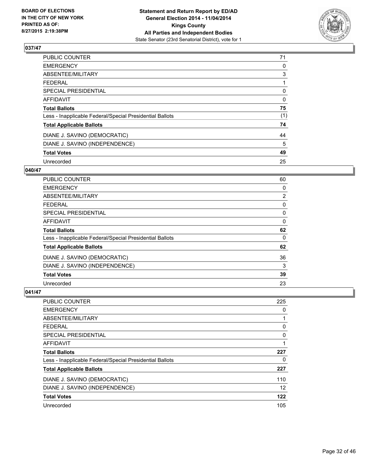

| PUBLIC COUNTER                                           | 71  |
|----------------------------------------------------------|-----|
| <b>EMERGENCY</b>                                         | 0   |
| ABSENTEE/MILITARY                                        | 3   |
| FEDERAL                                                  |     |
| <b>SPECIAL PRESIDENTIAL</b>                              | 0   |
| <b>AFFIDAVIT</b>                                         | 0   |
| <b>Total Ballots</b>                                     | 75  |
| Less - Inapplicable Federal/Special Presidential Ballots | (1) |
| <b>Total Applicable Ballots</b>                          | 74  |
| DIANE J. SAVINO (DEMOCRATIC)                             | 44  |
| DIANE J. SAVINO (INDEPENDENCE)                           | 5   |
| <b>Total Votes</b>                                       | 49  |
| Unrecorded                                               | 25  |

## **040/47**

| PUBLIC COUNTER                                           | 60             |
|----------------------------------------------------------|----------------|
| <b>EMERGENCY</b>                                         | 0              |
| ABSENTEE/MILITARY                                        | $\overline{2}$ |
| FFDFRAI                                                  | 0              |
| <b>SPECIAL PRESIDENTIAL</b>                              | 0              |
| AFFIDAVIT                                                | 0              |
| <b>Total Ballots</b>                                     | 62             |
| Less - Inapplicable Federal/Special Presidential Ballots | 0              |
| <b>Total Applicable Ballots</b>                          | 62             |
| DIANE J. SAVINO (DEMOCRATIC)                             | 36             |
| DIANE J. SAVINO (INDEPENDENCE)                           | 3              |
| <b>Total Votes</b>                                       | 39             |
| Unrecorded                                               | 23             |

| PUBLIC COUNTER                                           | 225 |
|----------------------------------------------------------|-----|
| <b>EMERGENCY</b>                                         | 0   |
| ABSENTEE/MILITARY                                        | 1   |
| <b>FEDERAL</b>                                           | 0   |
| <b>SPECIAL PRESIDENTIAL</b>                              | 0   |
| AFFIDAVIT                                                | 1   |
| <b>Total Ballots</b>                                     | 227 |
| Less - Inapplicable Federal/Special Presidential Ballots | 0   |
| <b>Total Applicable Ballots</b>                          | 227 |
| DIANE J. SAVINO (DEMOCRATIC)                             | 110 |
| DIANE J. SAVINO (INDEPENDENCE)                           | 12  |
| <b>Total Votes</b>                                       | 122 |
| Unrecorded                                               | 105 |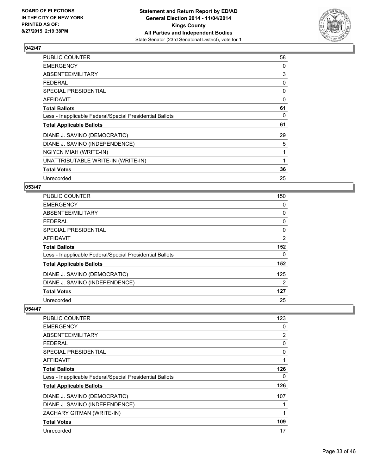

| PUBLIC COUNTER                                           | 58 |
|----------------------------------------------------------|----|
| <b>EMERGENCY</b>                                         | 0  |
| ABSENTEE/MILITARY                                        | 3  |
| FEDERAL                                                  | 0  |
| <b>SPECIAL PRESIDENTIAL</b>                              | 0  |
| AFFIDAVIT                                                | 0  |
| <b>Total Ballots</b>                                     | 61 |
| Less - Inapplicable Federal/Special Presidential Ballots | 0  |
| <b>Total Applicable Ballots</b>                          | 61 |
| DIANE J. SAVINO (DEMOCRATIC)                             | 29 |
| DIANE J. SAVINO (INDEPENDENCE)                           | 5  |
| NGIYEN MIAH (WRITE-IN)                                   | 1  |
| UNATTRIBUTABLE WRITE-IN (WRITE-IN)                       | 1  |
| <b>Total Votes</b>                                       | 36 |
| Unrecorded                                               | 25 |

## **053/47**

| PUBLIC COUNTER                                           | 150 |
|----------------------------------------------------------|-----|
| <b>EMERGENCY</b>                                         | 0   |
| ABSENTEE/MILITARY                                        | 0   |
| <b>FEDERAL</b>                                           | 0   |
| <b>SPECIAL PRESIDENTIAL</b>                              | 0   |
| <b>AFFIDAVIT</b>                                         | 2   |
| <b>Total Ballots</b>                                     | 152 |
| Less - Inapplicable Federal/Special Presidential Ballots | 0   |
| <b>Total Applicable Ballots</b>                          | 152 |
| DIANE J. SAVINO (DEMOCRATIC)                             | 125 |
| DIANE J. SAVINO (INDEPENDENCE)                           | 2   |
| <b>Total Votes</b>                                       | 127 |
| Unrecorded                                               | 25  |

| <b>PUBLIC COUNTER</b>                                    | 123 |
|----------------------------------------------------------|-----|
| <b>EMERGENCY</b>                                         | 0   |
| ABSENTEE/MILITARY                                        | 2   |
| <b>FEDERAL</b>                                           | 0   |
| SPECIAL PRESIDENTIAL                                     | 0   |
| <b>AFFIDAVIT</b>                                         | 1   |
| <b>Total Ballots</b>                                     | 126 |
| Less - Inapplicable Federal/Special Presidential Ballots | 0   |
| <b>Total Applicable Ballots</b>                          | 126 |
| DIANE J. SAVINO (DEMOCRATIC)                             | 107 |
| DIANE J. SAVINO (INDEPENDENCE)                           |     |
| ZACHARY GITMAN (WRITE-IN)                                | 1   |
| <b>Total Votes</b>                                       | 109 |
| Unrecorded                                               | 17  |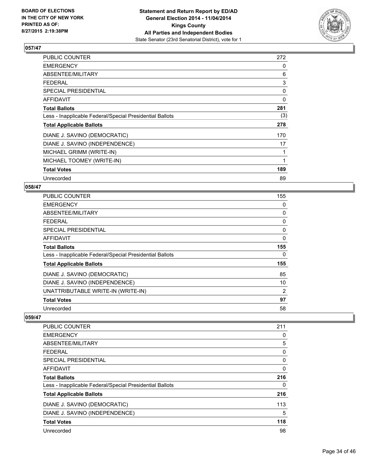

| PUBLIC COUNTER                                           | 272 |
|----------------------------------------------------------|-----|
| <b>EMERGENCY</b>                                         | 0   |
| ABSENTEE/MILITARY                                        | 6   |
| <b>FEDERAL</b>                                           | 3   |
| SPECIAL PRESIDENTIAL                                     | 0   |
| AFFIDAVIT                                                | 0   |
| <b>Total Ballots</b>                                     | 281 |
| Less - Inapplicable Federal/Special Presidential Ballots | (3) |
| <b>Total Applicable Ballots</b>                          | 278 |
| DIANE J. SAVINO (DEMOCRATIC)                             | 170 |
| DIANE J. SAVINO (INDEPENDENCE)                           | 17  |
| MICHAEL GRIMM (WRITE-IN)                                 | 1   |
| MICHAEL TOOMEY (WRITE-IN)                                | 1   |
| <b>Total Votes</b>                                       | 189 |
| Unrecorded                                               | 89  |

# **058/47**

| PUBLIC COUNTER                                           | 155 |
|----------------------------------------------------------|-----|
| <b>EMERGENCY</b>                                         | 0   |
| ABSENTEE/MILITARY                                        | 0   |
| <b>FEDERAL</b>                                           | 0   |
| <b>SPECIAL PRESIDENTIAL</b>                              | 0   |
| AFFIDAVIT                                                | 0   |
| <b>Total Ballots</b>                                     | 155 |
| Less - Inapplicable Federal/Special Presidential Ballots | 0   |
| <b>Total Applicable Ballots</b>                          | 155 |
| DIANE J. SAVINO (DEMOCRATIC)                             | 85  |
| DIANE J. SAVINO (INDEPENDENCE)                           | 10  |
| UNATTRIBUTABLE WRITE-IN (WRITE-IN)                       | 2   |
| <b>Total Votes</b>                                       | 97  |
| Unrecorded                                               | 58  |

| PUBLIC COUNTER                                           | 211 |
|----------------------------------------------------------|-----|
| <b>EMERGENCY</b>                                         | 0   |
| ABSENTEE/MILITARY                                        | 5   |
| <b>FEDERAL</b>                                           | 0   |
| SPECIAL PRESIDENTIAL                                     | 0   |
| AFFIDAVIT                                                | 0   |
| <b>Total Ballots</b>                                     | 216 |
| Less - Inapplicable Federal/Special Presidential Ballots | 0   |
| <b>Total Applicable Ballots</b>                          | 216 |
| DIANE J. SAVINO (DEMOCRATIC)                             | 113 |
| DIANE J. SAVINO (INDEPENDENCE)                           | 5   |
| <b>Total Votes</b>                                       | 118 |
| Unrecorded                                               | 98  |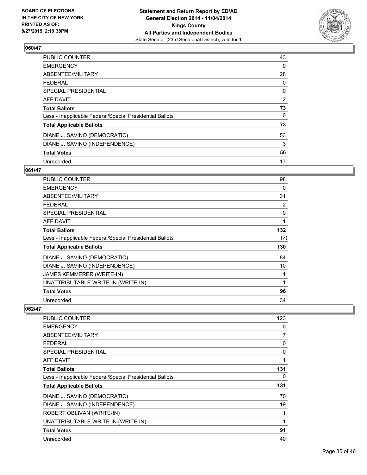

| <b>PUBLIC COUNTER</b>                                    | 43 |
|----------------------------------------------------------|----|
| <b>EMERGENCY</b>                                         | 0  |
| ABSENTEE/MILITARY                                        | 28 |
| <b>FEDERAL</b>                                           | 0  |
| SPECIAL PRESIDENTIAL                                     | 0  |
| <b>AFFIDAVIT</b>                                         | 2  |
| <b>Total Ballots</b>                                     | 73 |
| Less - Inapplicable Federal/Special Presidential Ballots | 0  |
| <b>Total Applicable Ballots</b>                          | 73 |
| DIANE J. SAVINO (DEMOCRATIC)                             | 53 |
| DIANE J. SAVINO (INDEPENDENCE)                           | 3  |
| <b>Total Votes</b>                                       | 56 |
| Unrecorded                                               | 17 |

# **061/47**

| PUBLIC COUNTER                                           | 98  |
|----------------------------------------------------------|-----|
| <b>EMERGENCY</b>                                         | 0   |
| ABSENTEE/MILITARY                                        | 31  |
| <b>FEDERAL</b>                                           | 2   |
| SPECIAL PRESIDENTIAL                                     | 0   |
| AFFIDAVIT                                                | 1   |
| <b>Total Ballots</b>                                     | 132 |
| Less - Inapplicable Federal/Special Presidential Ballots | (2) |
| <b>Total Applicable Ballots</b>                          | 130 |
| DIANE J. SAVINO (DEMOCRATIC)                             | 84  |
| DIANE J. SAVINO (INDEPENDENCE)                           | 10  |
| JAMES KEMMERER (WRITE-IN)                                | 1   |
| UNATTRIBUTABLE WRITE-IN (WRITE-IN)                       | 1   |
| <b>Total Votes</b>                                       | 96  |
| Unrecorded                                               | 34  |

| <b>PUBLIC COUNTER</b>                                    | 123 |
|----------------------------------------------------------|-----|
| <b>EMERGENCY</b>                                         | 0   |
| ABSENTEE/MILITARY                                        | 7   |
| <b>FEDERAL</b>                                           | 0   |
| <b>SPECIAL PRESIDENTIAL</b>                              | 0   |
| AFFIDAVIT                                                | 1   |
| <b>Total Ballots</b>                                     | 131 |
| Less - Inapplicable Federal/Special Presidential Ballots | 0   |
| <b>Total Applicable Ballots</b>                          | 131 |
| DIANE J. SAVINO (DEMOCRATIC)                             | 70  |
| DIANE J. SAVINO (INDEPENDENCE)                           | 19  |
| ROBERT OBLIVAN (WRITE-IN)                                | 1   |
| UNATTRIBUTABLE WRITE-IN (WRITE-IN)                       | 1   |
| <b>Total Votes</b>                                       | 91  |
| Unrecorded                                               | 40  |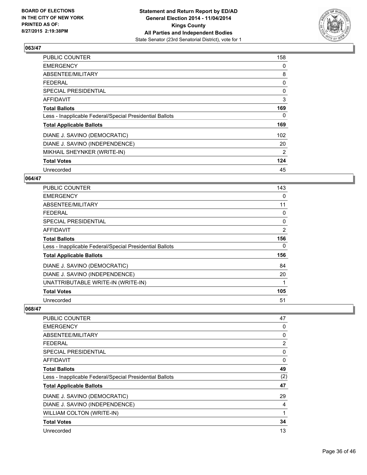

| PUBLIC COUNTER                                           | 158 |
|----------------------------------------------------------|-----|
| <b>EMERGENCY</b>                                         | 0   |
| ABSENTEE/MILITARY                                        | 8   |
| <b>FEDERAL</b>                                           | 0   |
| <b>SPECIAL PRESIDENTIAL</b>                              | 0   |
| AFFIDAVIT                                                | 3   |
| <b>Total Ballots</b>                                     | 169 |
| Less - Inapplicable Federal/Special Presidential Ballots | 0   |
| <b>Total Applicable Ballots</b>                          | 169 |
| DIANE J. SAVINO (DEMOCRATIC)                             | 102 |
| DIANE J. SAVINO (INDEPENDENCE)                           | 20  |
| MIKHAIL SHEYNKER (WRITE-IN)                              | 2   |
| <b>Total Votes</b>                                       | 124 |
| Unrecorded                                               | 45  |

# **064/47**

| PUBLIC COUNTER                                           | 143 |
|----------------------------------------------------------|-----|
| <b>EMERGENCY</b>                                         | 0   |
| ABSENTEE/MILITARY                                        | 11  |
| <b>FEDERAL</b>                                           | 0   |
| <b>SPECIAL PRESIDENTIAL</b>                              | 0   |
| AFFIDAVIT                                                | 2   |
| <b>Total Ballots</b>                                     | 156 |
| Less - Inapplicable Federal/Special Presidential Ballots | 0   |
| <b>Total Applicable Ballots</b>                          | 156 |
| DIANE J. SAVINO (DEMOCRATIC)                             | 84  |
| DIANE J. SAVINO (INDEPENDENCE)                           | 20  |
| UNATTRIBUTABLE WRITE-IN (WRITE-IN)                       |     |
| <b>Total Votes</b>                                       | 105 |
| Unrecorded                                               | 51  |

| <b>PUBLIC COUNTER</b>                                    | 47  |
|----------------------------------------------------------|-----|
| <b>EMERGENCY</b>                                         | 0   |
| ABSENTEE/MILITARY                                        | 0   |
| <b>FEDERAL</b>                                           | 2   |
| SPECIAL PRESIDENTIAL                                     | 0   |
| AFFIDAVIT                                                | 0   |
| <b>Total Ballots</b>                                     | 49  |
| Less - Inapplicable Federal/Special Presidential Ballots | (2) |
| <b>Total Applicable Ballots</b>                          | 47  |
| DIANE J. SAVINO (DEMOCRATIC)                             | 29  |
| DIANE J. SAVINO (INDEPENDENCE)                           | 4   |
| WILLIAM COLTON (WRITE-IN)                                | 1   |
| <b>Total Votes</b>                                       | 34  |
| Unrecorded                                               | 13  |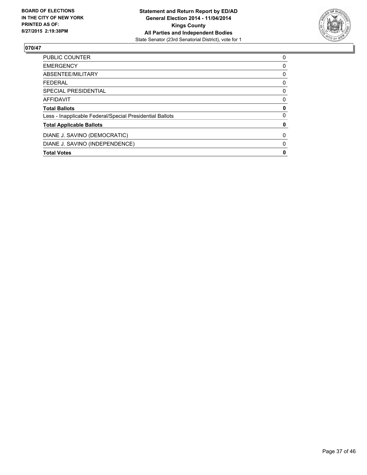

| DIANE J. SAVINO (INDEPENDENCE)                           | 0 |
|----------------------------------------------------------|---|
| DIANE J. SAVINO (DEMOCRATIC)                             | 0 |
| <b>Total Applicable Ballots</b>                          | 0 |
| Less - Inapplicable Federal/Special Presidential Ballots | 0 |
| <b>Total Ballots</b>                                     | 0 |
| AFFIDAVIT                                                | 0 |
| <b>SPECIAL PRESIDENTIAL</b>                              | 0 |
| FEDERAL                                                  | 0 |
| ABSENTEE/MILITARY                                        | 0 |
| <b>EMERGENCY</b>                                         | 0 |
| PUBLIC COUNTER                                           | 0 |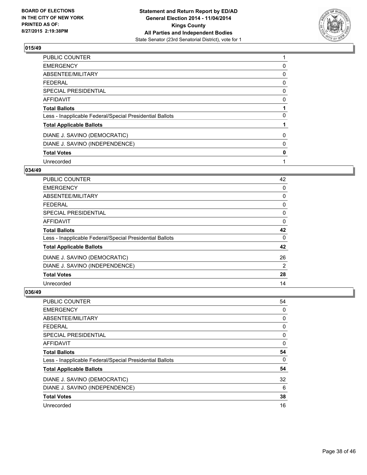

| PUBLIC COUNTER                                           |   |
|----------------------------------------------------------|---|
| <b>EMERGENCY</b>                                         | 0 |
| ABSENTEE/MILITARY                                        | 0 |
| <b>FEDERAL</b>                                           | 0 |
| <b>SPECIAL PRESIDENTIAL</b>                              | 0 |
| <b>AFFIDAVIT</b>                                         | 0 |
| <b>Total Ballots</b>                                     |   |
| Less - Inapplicable Federal/Special Presidential Ballots | 0 |
| <b>Total Applicable Ballots</b>                          |   |
| DIANE J. SAVINO (DEMOCRATIC)                             | 0 |
| DIANE J. SAVINO (INDEPENDENCE)                           | 0 |
| <b>Total Votes</b>                                       | 0 |
| Unrecorded                                               |   |

#### **034/49**

| PUBLIC COUNTER                                           | 42 |
|----------------------------------------------------------|----|
| <b>EMERGENCY</b>                                         | 0  |
| ABSENTEE/MILITARY                                        | 0  |
| <b>FEDERAL</b>                                           | 0  |
| <b>SPECIAL PRESIDENTIAL</b>                              | 0  |
| AFFIDAVIT                                                | 0  |
| <b>Total Ballots</b>                                     | 42 |
| Less - Inapplicable Federal/Special Presidential Ballots | 0  |
| <b>Total Applicable Ballots</b>                          | 42 |
| DIANE J. SAVINO (DEMOCRATIC)                             | 26 |
| DIANE J. SAVINO (INDEPENDENCE)                           | 2  |
| <b>Total Votes</b>                                       | 28 |
| Unrecorded                                               | 14 |

| PUBLIC COUNTER                                           | 54 |
|----------------------------------------------------------|----|
| <b>EMERGENCY</b>                                         | 0  |
| ABSENTEE/MILITARY                                        | 0  |
| <b>FEDERAL</b>                                           | 0  |
| SPECIAL PRESIDENTIAL                                     | 0  |
| <b>AFFIDAVIT</b>                                         | 0  |
| <b>Total Ballots</b>                                     | 54 |
| Less - Inapplicable Federal/Special Presidential Ballots | 0  |
| <b>Total Applicable Ballots</b>                          | 54 |
| DIANE J. SAVINO (DEMOCRATIC)                             | 32 |
| DIANE J. SAVINO (INDEPENDENCE)                           | 6  |
| <b>Total Votes</b>                                       | 38 |
| Unrecorded                                               | 16 |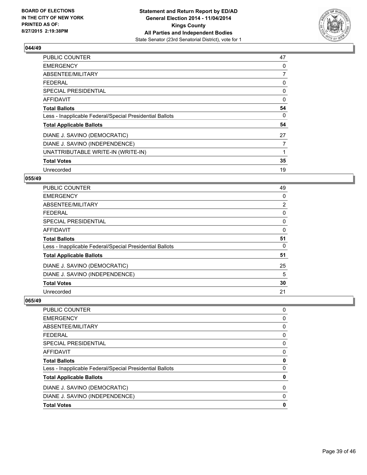

| PUBLIC COUNTER                                           | 47 |
|----------------------------------------------------------|----|
| <b>EMERGENCY</b>                                         | 0  |
| ABSENTEE/MILITARY                                        | 7  |
| <b>FEDERAL</b>                                           | 0  |
| <b>SPECIAL PRESIDENTIAL</b>                              | 0  |
| <b>AFFIDAVIT</b>                                         | 0  |
| <b>Total Ballots</b>                                     | 54 |
| Less - Inapplicable Federal/Special Presidential Ballots | 0  |
| <b>Total Applicable Ballots</b>                          | 54 |
| DIANE J. SAVINO (DEMOCRATIC)                             | 27 |
| DIANE J. SAVINO (INDEPENDENCE)                           | 7  |
| UNATTRIBUTABLE WRITE-IN (WRITE-IN)                       | 1  |
| <b>Total Votes</b>                                       | 35 |
| Unrecorded                                               | 19 |

# **055/49**

| PUBLIC COUNTER                                           | 49             |
|----------------------------------------------------------|----------------|
| <b>EMERGENCY</b>                                         | 0              |
| ABSENTEE/MILITARY                                        | $\overline{2}$ |
| <b>FEDERAL</b>                                           | 0              |
| <b>SPECIAL PRESIDENTIAL</b>                              | 0              |
| <b>AFFIDAVIT</b>                                         | 0              |
| <b>Total Ballots</b>                                     | 51             |
| Less - Inapplicable Federal/Special Presidential Ballots | 0              |
| <b>Total Applicable Ballots</b>                          | 51             |
| DIANE J. SAVINO (DEMOCRATIC)                             | 25             |
| DIANE J. SAVINO (INDEPENDENCE)                           | 5              |
| <b>Total Votes</b>                                       | 30             |
| Unrecorded                                               | 21             |

| PUBLIC COUNTER                                           | 0 |
|----------------------------------------------------------|---|
| <b>EMERGENCY</b>                                         | 0 |
| ABSENTEE/MILITARY                                        | 0 |
| <b>FEDERAL</b>                                           | 0 |
| SPECIAL PRESIDENTIAL                                     | 0 |
| AFFIDAVIT                                                | 0 |
| <b>Total Ballots</b>                                     | 0 |
| Less - Inapplicable Federal/Special Presidential Ballots | 0 |
| <b>Total Applicable Ballots</b>                          | 0 |
| DIANE J. SAVINO (DEMOCRATIC)                             | 0 |
| DIANE J. SAVINO (INDEPENDENCE)                           | 0 |
| <b>Total Votes</b>                                       | 0 |
|                                                          |   |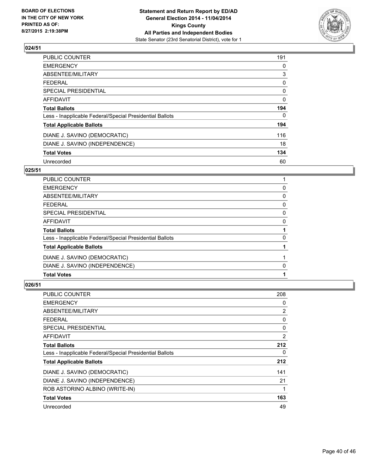

# $\sqrt{024/51}$

| <b>PUBLIC COUNTER</b>                                    | 191 |
|----------------------------------------------------------|-----|
| <b>EMERGENCY</b>                                         | 0   |
| ABSENTEE/MILITARY                                        | 3   |
| <b>FEDERAL</b>                                           | 0   |
| <b>SPECIAL PRESIDENTIAL</b>                              | 0   |
| <b>AFFIDAVIT</b>                                         | 0   |
| <b>Total Ballots</b>                                     | 194 |
| Less - Inapplicable Federal/Special Presidential Ballots | 0   |
| <b>Total Applicable Ballots</b>                          | 194 |
| DIANE J. SAVINO (DEMOCRATIC)                             | 116 |
| DIANE J. SAVINO (INDEPENDENCE)                           | 18  |
| <b>Total Votes</b>                                       | 134 |
| Unrecorded                                               | 60  |

# **025/51**

| PUBLIC COUNTER                                           |   |
|----------------------------------------------------------|---|
| <b>EMERGENCY</b>                                         | 0 |
| ABSENTEE/MILITARY                                        | 0 |
| FEDERAL                                                  | 0 |
| <b>SPECIAL PRESIDENTIAL</b>                              | 0 |
| AFFIDAVIT                                                | 0 |
| <b>Total Ballots</b>                                     |   |
| Less - Inapplicable Federal/Special Presidential Ballots | 0 |
| <b>Total Applicable Ballots</b>                          |   |
| DIANE J. SAVINO (DEMOCRATIC)                             |   |
| DIANE J. SAVINO (INDEPENDENCE)                           | 0 |
| <b>Total Votes</b>                                       |   |
|                                                          |   |

| <b>PUBLIC COUNTER</b>                                    | 208 |
|----------------------------------------------------------|-----|
| <b>EMERGENCY</b>                                         | 0   |
| ABSENTEE/MILITARY                                        | 2   |
| <b>FEDERAL</b>                                           | 0   |
| <b>SPECIAL PRESIDENTIAL</b>                              | 0   |
| <b>AFFIDAVIT</b>                                         | 2   |
| <b>Total Ballots</b>                                     | 212 |
| Less - Inapplicable Federal/Special Presidential Ballots | 0   |
| <b>Total Applicable Ballots</b>                          | 212 |
| DIANE J. SAVINO (DEMOCRATIC)                             | 141 |
| DIANE J. SAVINO (INDEPENDENCE)                           | 21  |
| ROB ASTORINO ALBINO (WRITE-IN)                           | 1   |
| <b>Total Votes</b>                                       | 163 |
| Unrecorded                                               | 49  |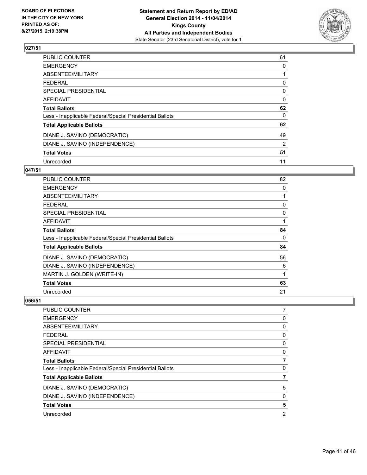

| <b>PUBLIC COUNTER</b>                                    | 61 |
|----------------------------------------------------------|----|
| <b>EMERGENCY</b>                                         | 0  |
| ABSENTEE/MILITARY                                        |    |
| <b>FEDERAL</b>                                           | 0  |
| SPECIAL PRESIDENTIAL                                     | 0  |
| <b>AFFIDAVIT</b>                                         | 0  |
| <b>Total Ballots</b>                                     | 62 |
| Less - Inapplicable Federal/Special Presidential Ballots | 0  |
| <b>Total Applicable Ballots</b>                          | 62 |
| DIANE J. SAVINO (DEMOCRATIC)                             | 49 |
| DIANE J. SAVINO (INDEPENDENCE)                           | 2  |
| <b>Total Votes</b>                                       | 51 |
| Unrecorded                                               | 11 |

# **047/51**

| PUBLIC COUNTER                                           | 82          |
|----------------------------------------------------------|-------------|
| <b>EMERGENCY</b>                                         | 0           |
| ABSENTEE/MILITARY                                        |             |
| <b>FEDERAL</b>                                           | 0           |
| <b>SPECIAL PRESIDENTIAL</b>                              | 0           |
| AFFIDAVIT                                                | 1           |
| <b>Total Ballots</b>                                     | 84          |
| Less - Inapplicable Federal/Special Presidential Ballots | 0           |
| <b>Total Applicable Ballots</b>                          | 84          |
| DIANE J. SAVINO (DEMOCRATIC)                             | 56          |
| DIANE J. SAVINO (INDEPENDENCE)                           | 6           |
| MARTIN J. GOLDEN (WRITE-IN)                              | $\mathbf 1$ |
| <b>Total Votes</b>                                       | 63          |
| Unrecorded                                               | 21          |

| PUBLIC COUNTER                                           | 7 |
|----------------------------------------------------------|---|
| <b>EMERGENCY</b>                                         | 0 |
| ABSENTEE/MILITARY                                        | 0 |
| <b>FEDERAL</b>                                           | 0 |
| SPECIAL PRESIDENTIAL                                     | 0 |
| <b>AFFIDAVIT</b>                                         | 0 |
| <b>Total Ballots</b>                                     | 7 |
| Less - Inapplicable Federal/Special Presidential Ballots | 0 |
| <b>Total Applicable Ballots</b>                          | 7 |
| DIANE J. SAVINO (DEMOCRATIC)                             | 5 |
| DIANE J. SAVINO (INDEPENDENCE)                           | 0 |
| <b>Total Votes</b>                                       | 5 |
| Unrecorded                                               | 2 |
|                                                          |   |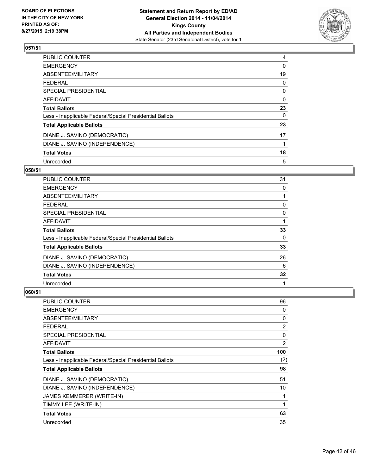

| PUBLIC COUNTER                                           | 4  |
|----------------------------------------------------------|----|
| <b>EMERGENCY</b>                                         | 0  |
| ABSENTEE/MILITARY                                        | 19 |
| <b>FEDERAL</b>                                           | 0  |
| SPECIAL PRESIDENTIAL                                     | 0  |
| <b>AFFIDAVIT</b>                                         | 0  |
| <b>Total Ballots</b>                                     | 23 |
| Less - Inapplicable Federal/Special Presidential Ballots | 0  |
| <b>Total Applicable Ballots</b>                          | 23 |
| DIANE J. SAVINO (DEMOCRATIC)                             | 17 |
| DIANE J. SAVINO (INDEPENDENCE)                           |    |
| <b>Total Votes</b>                                       | 18 |
| Unrecorded                                               | 5  |

#### **058/51**

| PUBLIC COUNTER                                           | 31 |
|----------------------------------------------------------|----|
| <b>EMERGENCY</b>                                         | 0  |
| ABSENTEE/MILITARY                                        |    |
| <b>FEDERAL</b>                                           | 0  |
| <b>SPECIAL PRESIDENTIAL</b>                              | 0  |
| AFFIDAVIT                                                |    |
| <b>Total Ballots</b>                                     | 33 |
| Less - Inapplicable Federal/Special Presidential Ballots | 0  |
| <b>Total Applicable Ballots</b>                          | 33 |
| DIANE J. SAVINO (DEMOCRATIC)                             | 26 |
| DIANE J. SAVINO (INDEPENDENCE)                           | 6  |
| <b>Total Votes</b>                                       | 32 |
| Unrecorded                                               | 1  |

| PUBLIC COUNTER                                           | 96  |
|----------------------------------------------------------|-----|
| <b>EMERGENCY</b>                                         | 0   |
| ABSENTEE/MILITARY                                        | 0   |
| <b>FEDERAL</b>                                           | 2   |
| SPECIAL PRESIDENTIAL                                     | 0   |
| <b>AFFIDAVIT</b>                                         | 2   |
| <b>Total Ballots</b>                                     | 100 |
| Less - Inapplicable Federal/Special Presidential Ballots | (2) |
| <b>Total Applicable Ballots</b>                          | 98  |
| DIANE J. SAVINO (DEMOCRATIC)                             | 51  |
| DIANE J. SAVINO (INDEPENDENCE)                           | 10  |
| JAMES KEMMERER (WRITE-IN)                                | 1   |
| TIMMY LEE (WRITE-IN)                                     | 1   |
| <b>Total Votes</b>                                       | 63  |
| Unrecorded                                               | 35  |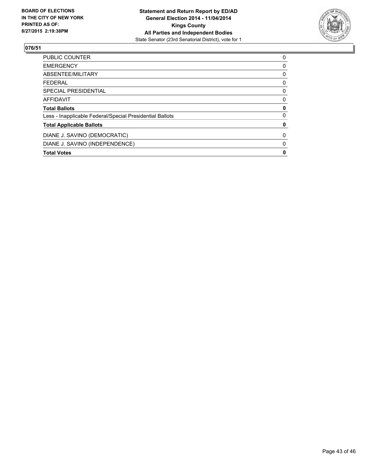

| DIANE J. SAVINO (INDEPENDENCE)                           | 0 |
|----------------------------------------------------------|---|
| DIANE J. SAVINO (DEMOCRATIC)                             | 0 |
| <b>Total Applicable Ballots</b>                          | 0 |
| Less - Inapplicable Federal/Special Presidential Ballots | 0 |
| <b>Total Ballots</b>                                     | 0 |
| AFFIDAVIT                                                | 0 |
| <b>SPECIAL PRESIDENTIAL</b>                              | 0 |
| FEDERAL                                                  | 0 |
| ABSENTEE/MILITARY                                        | 0 |
| <b>EMERGENCY</b>                                         | 0 |
| PUBLIC COUNTER                                           | 0 |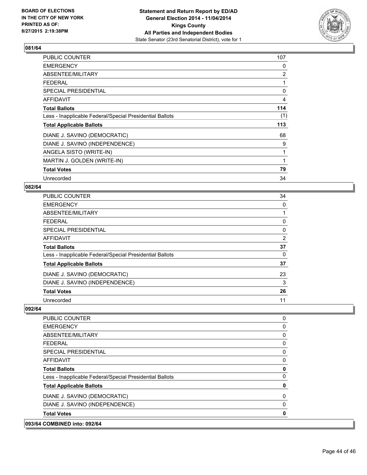

| PUBLIC COUNTER                                           | 107            |
|----------------------------------------------------------|----------------|
| <b>EMERGENCY</b>                                         | 0              |
| ABSENTEE/MILITARY                                        | $\overline{2}$ |
| FEDERAL                                                  | 1              |
| SPECIAL PRESIDENTIAL                                     | 0              |
| AFFIDAVIT                                                | 4              |
| <b>Total Ballots</b>                                     | 114            |
| Less - Inapplicable Federal/Special Presidential Ballots | (1)            |
| <b>Total Applicable Ballots</b>                          | 113            |
| DIANE J. SAVINO (DEMOCRATIC)                             | 68             |
| DIANE J. SAVINO (INDEPENDENCE)                           | 9              |
| ANGELA SISTO (WRITE-IN)                                  | 1              |
| MARTIN J. GOLDEN (WRITE-IN)                              | 1              |
| <b>Total Votes</b>                                       | 79             |
| Unrecorded                                               | 34             |

# **082/64**

| PUBLIC COUNTER                                           | 34 |
|----------------------------------------------------------|----|
| <b>EMERGENCY</b>                                         | 0  |
| ABSENTEE/MILITARY                                        |    |
| <b>FEDERAL</b>                                           | 0  |
| <b>SPECIAL PRESIDENTIAL</b>                              | 0  |
| <b>AFFIDAVIT</b>                                         | 2  |
| <b>Total Ballots</b>                                     | 37 |
| Less - Inapplicable Federal/Special Presidential Ballots | 0  |
| <b>Total Applicable Ballots</b>                          | 37 |
| DIANE J. SAVINO (DEMOCRATIC)                             | 23 |
| DIANE J. SAVINO (INDEPENDENCE)                           | 3  |
| <b>Total Votes</b>                                       | 26 |
| Unrecorded                                               | 11 |

| 093/64 COMBINED into: 092/64                             |          |
|----------------------------------------------------------|----------|
| <b>Total Votes</b>                                       | 0        |
| DIANE J. SAVINO (INDEPENDENCE)                           | $\Omega$ |
| DIANE J. SAVINO (DEMOCRATIC)                             | 0        |
| <b>Total Applicable Ballots</b>                          | 0        |
| Less - Inapplicable Federal/Special Presidential Ballots | 0        |
| <b>Total Ballots</b>                                     | 0        |
| AFFIDAVIT                                                | 0        |
| <b>SPECIAL PRESIDENTIAL</b>                              | 0        |
| <b>FEDERAL</b>                                           | 0        |
| ABSENTEE/MILITARY                                        | 0        |
| <b>EMERGENCY</b>                                         | 0        |
| PUBLIC COUNTER                                           | 0        |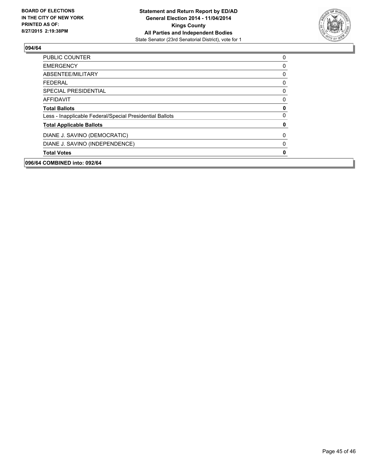

| 096/64 COMBINED into: 092/64                             |   |
|----------------------------------------------------------|---|
| <b>Total Votes</b>                                       | 0 |
| DIANE J. SAVINO (INDEPENDENCE)                           | 0 |
| DIANE J. SAVINO (DEMOCRATIC)                             | 0 |
| <b>Total Applicable Ballots</b>                          | 0 |
| Less - Inapplicable Federal/Special Presidential Ballots | 0 |
| <b>Total Ballots</b>                                     | 0 |
| <b>AFFIDAVIT</b>                                         | 0 |
| <b>SPECIAL PRESIDENTIAL</b>                              | 0 |
| <b>FEDERAL</b>                                           | 0 |
| ABSENTEE/MILITARY                                        | 0 |
| <b>EMERGENCY</b>                                         | 0 |
| <b>PUBLIC COUNTER</b>                                    | 0 |